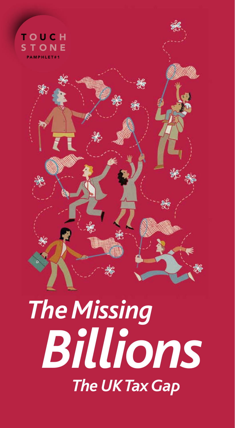

# *The Missing Billions The UK Tax Gap*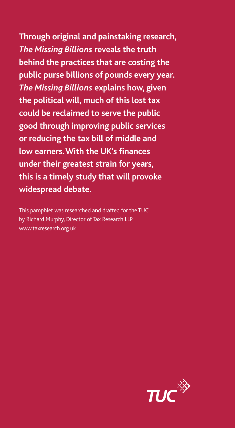**Through original and painstaking research,**  *The Missing Billions* **reveals the truth behind the practices that are costing the public purse billions of pounds every year.**  *The Missing Billions* **explains how, given the political will, much of this lost tax could be reclaimed to serve the public good through improving public services or reducing the tax bill of middle and low earners. With the UK's finances under their greatest strain for years, this is a timely study that will provoke widespread debate.** 

This pamphlet was researched and drafted for the TUC by Richard Murphy, Director of Tax Research LLP www.taxresearch.org.uk

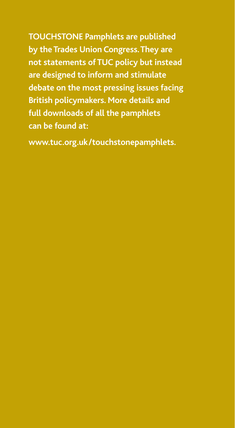**Touchstone Pamphlets are published by the Trades Union Congress. They are not statements of TUC policy but instead are designed to inform and stimulate debate on the most pressing issues facing British policymakers. More details and full downloads of all the pamphlets can be found at:**

**www.tuc.org.uk/touchstonepamphlets.**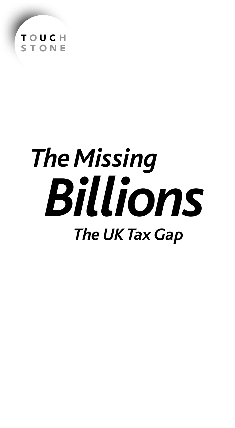

# *The Missing Billions The UK Tax Gap*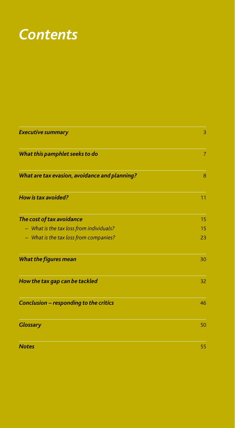## *Contents*

| <b>Executive summary</b>                      | 3              |
|-----------------------------------------------|----------------|
| What this pamphlet seeks to do                | $\overline{7}$ |
| What are tax evasion, avoidance and planning? | 8              |
| <b>How is tax avoided?</b>                    | 11             |
| The cost of tax avoidance                     | 15             |
| - What is the tax loss from individuals?      | 15             |
| - What is the tax loss from companies?        | 23             |
| What the figures mean                         | 30             |
| How the tax gap can be tackled                | 32             |
| Conclusion - responding to the critics        | 46             |
| <b>Glossary</b>                               | 50             |
| <b>Notes</b>                                  | 55             |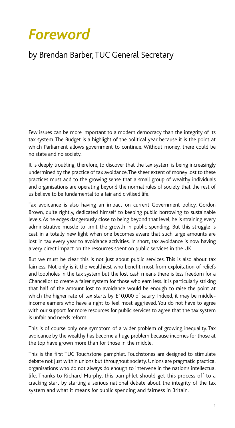# *Foreword*

## by Brendan Barber, TUC General Secretary

Few issues can be more important to a modern democracy than the integrity of its tax system. The Budget is a highlight of the political year because it is the point at which Parliament allows government to continue. Without money, there could be no state and no society.

It is deeply troubling, therefore, to discover that the tax system is being increasingly undermined by the practice of tax avoidance. The sheer extent of money lost to these practices must add to the growing sense that a small group of wealthy individuals and organisations are operating beyond the normal rules of society that the rest of us believe to be fundamental to a fair and civilised life.

Tax avoidance is also having an impact on current Government policy. Gordon Brown, quite rightly, dedicated himself to keeping public borrowing to sustainable levels. As he edges dangerously close to being beyond that level, he is straining every administrative muscle to limit the growth in public spending. But this struggle is cast in a totally new light when one becomes aware that such large amounts are lost in tax every year to avoidance activities. In short, tax avoidance is now having a very direct impact on the resources spent on public services in the UK.

But we must be clear this is not just about public services. This is also about tax fairness. Not only is it the wealthiest who benefit most from exploitation of reliefs and loopholes in the tax system but the lost cash means there is less freedom for a Chancellor to create a fairer system for those who earn less. It is particularly striking that half of the amount lost to avoidance would be enough to raise the point at which the higher rate of tax starts by £10,000 of salary. Indeed, it may be middleincome earners who have a right to feel most aggrieved. You do not have to agree with our support for more resources for public services to agree that the tax system is unfair and needs reform.

This is of course only one symptom of a wider problem of growing inequality. Tax avoidance by the wealthy has become a huge problem because incomes for those at the top have grown more than for those in the middle.

This is the first TUC Touchstone pamphlet. Touchstones are designed to stimulate debate not just within unions but throughout society. Unions are pragmatic practical organisations who do not always do enough to intervene in the nation's intellectual life. Thanks to Richard Murphy, this pamphlet should get this process off to a cracking start by starting a serious national debate about the integrity of the tax system and what it means for public spending and fairness in Britain.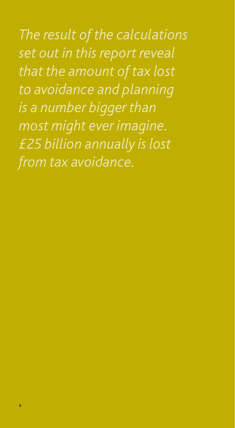*The result of the calculations set out in this report reveal that the amount of tax lost to avoidance and planning is a number bigger than most might ever imagine. £25 billion annually is lost from tax avoidance.*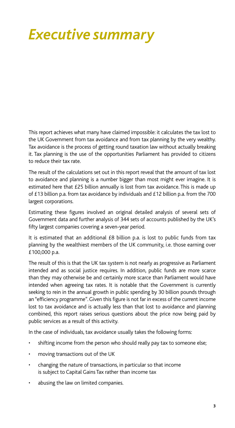# *Executive summary*

This report achieves what many have claimed impossible: it calculates the tax lost to the UK Government from tax avoidance and from tax planning by the very wealthy. Tax avoidance is the process of getting round taxation law without actually breaking it. Tax planning is the use of the opportunities Parliament has provided to citizens to reduce their tax rate.

The result of the calculations set out in this report reveal that the amount of tax lost to avoidance and planning is a number bigger than most might ever imagine. It is estimated here that £25 billion annually is lost from tax avoidance. This is made up of £13 billion p.a. from tax avoidance by individuals and £12 billion p.a. from the 700 largest corporations.

Estimating these figures involved an original detailed analysis of several sets of Government data and further analysis of 344 sets of accounts published by the UK's fifty largest companies covering a seven-year period.

It is estimated that an additional £8 billion p.a. is lost to public funds from tax planning by the wealthiest members of the UK community, i.e. those earning over £100,000 p.a.

The result of this is that the UK tax system is not nearly as progressive as Parliament intended and as social justice requires. In addition, public funds are more scarce than they may otherwise be and certainly more scarce than Parliament would have intended when agreeing tax rates. It is notable that the Government is currently seeking to rein in the annual growth in public spending by 30 billion pounds through an "efficiency programme". Given this figure is not far in excess of the current income lost to tax avoidance and is actually less than that lost to avoidance and planning combined, this report raises serious questions about the price now being paid by public services as a result of this activity.

In the case of individuals, tax avoidance usually takes the following forms:

- shifting income from the person who should really pay tax to someone else;
- moving transactions out of the UK
- changing the nature of transactions, in particular so that income is subject to Capital Gains Tax rather than income tax
- abusing the law on limited companies.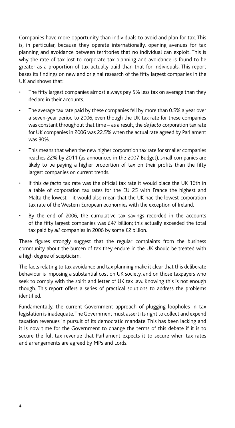Companies have more opportunity than individuals to avoid and plan for tax. This is, in particular, because they operate internationally, opening avenues for tax planning and avoidance between territories that no individual can exploit. This is why the rate of tax lost to corporate tax planning and avoidance is found to be greater as a proportion of tax actually paid than that for individuals. This report bases its findings on new and original research of the fifty largest companies in the UK and shows that:

- The fifty largest companies almost always pay 5% less tax on average than they declare in their accounts.
- The average tax rate paid by these companies fell by more than 0.5% a year over a seven-year period to 2006, even though the UK tax rate for these companies was constant throughout that time – as a result, the *de facto* corporation tax rate for UK companies in 2006 was 22.5% when the actual rate agreed by Parliament was 30%.
- This means that when the new higher corporation tax rate for smaller companies reaches 22% by 2011 (as announced in the 2007 Budget), small companies are likely to be paying a higher proportion of tax on their profits than the fifty largest companies on current trends.
- If this *de facto* tax rate was the official tax rate it would place the UK 16th in a table of corporation tax rates for the EU 25 with France the highest and Malta the lowest – it would also mean that the UK had the lowest corporation tax rate of the Western European economies with the exception of Ireland.
- By the end of 2006, the cumulative tax savings recorded in the accounts of the fifty largest companies was £47 billion; this actually exceeded the total tax paid by *all* companies in 2006 by some £2 billion.

These figures strongly suggest that the regular complaints from the business community about the burden of tax they endure in the UK should be treated with a high degree of scepticism.

The facts relating to tax avoidance and tax planning make it clear that this deliberate behaviour is imposing a substantial cost on UK society, and on those taxpayers who seek to comply with the spirit and letter of UK tax law. Knowing this is not enough though. This report offers a series of practical solutions to address the problems identified.

Fundamentally, the current Government approach of plugging loopholes in tax legislation is inadequate. The Government must assert its right to collect and expend taxation revenues in pursuit of its democratic mandate. This has been lacking and it is now time for the Government to change the terms of this debate if it is to secure the full tax revenue that Parliament expects it to secure when tax rates and arrangements are agreed by MPs and Lords.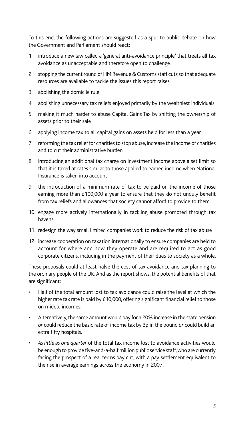To this end, the following actions are suggested as a spur to public debate on how the Government and Parliament should react:

- 1. introduce a new law called a 'general anti-avoidance principle' that treats all tax avoidance as unacceptable and therefore open to challenge
- 2. stopping the current round of HM Revenue & Customs staff cuts so that adequate resources are available to tackle the issues this report raises
- 3. abolishing the domicile rule
- 4. abolishing unnecessary tax reliefs enjoyed primarily by the wealthiest individuals
- 5. making it much harder to abuse Capital Gains Tax by shifting the ownership of assets prior to their sale
- 6. applying income tax to all capital gains on assets held for less than a year
- 7. reforming the tax relief for charities to stop abuse, increase the income of charities and to cut their administrative burden
- 8. introducing an additional tax charge on investment income above a set limit so that it is taxed at rates similar to those applied to earned income when National Insurance is taken into account
- 9. the introduction of a minimum rate of tax to be paid on the income of those earning more than £100,000 a year to ensure that they do not unduly benefit from tax reliefs and allowances that society cannot afford to provide to them
- 10. engage more actively internationally in tackling abuse promoted through tax havens
- 11. redesign the way small limited companies work to reduce the risk of tax abuse
- 12. increase cooperation on taxation internationally to ensure companies are held to account for where and how they operate and are required to act as good corporate citizens, including in the payment of their dues to society as a whole.

These proposals could at least halve the cost of tax avoidance and tax planning to the ordinary people of the UK. And as the report shows, the potential benefits of that are significant:

- Half of the total amount lost to tax avoidance could raise the level at which the higher rate tax rate is paid by £10,000, offering significant financial relief to those on middle incomes.
- Alternatively, the same amount would pay for a 20% increase in the state pension *or* could reduce the basic rate of income tax by 3p in the pound *or* could build an extra fifty hospitals.
- *Aslittle as one quarter* of the total tax income lost to avoidance activities would be enough to provide five-and-a-half million public service staff, who are currently facing the prospect of a real terms pay cut, with a pay settlement equivalent to the rise in average earnings across the economy in 2007.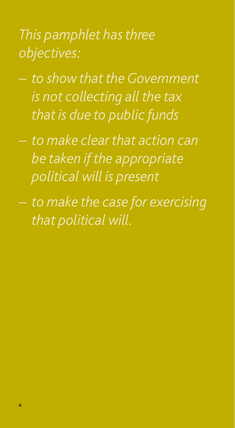# *This pamphlet hasthree objectives:*

- *– to show that the Government is not collecting all the tax that is due to public funds*
- *– to make clear that action can be taken if the appropriate political will is present*
- *– to make the case for exercising that political will.*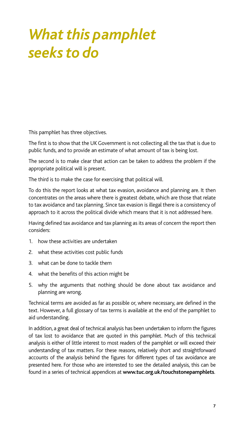# *What this pamphlet seeks to do*

This pamphlet has three objectives.

The first is to show that the UK Government is not collecting all the tax that is due to public funds, and to provide an estimate of what amount of tax is being lost.

The second is to make clear that action can be taken to address the problem if the appropriate political will is present.

The third is to make the case for exercising that political will.

To do this the report looks at what tax evasion, avoidance and planning are. It then concentrates on the areas where there is greatest debate, which are those that relate to tax avoidance and tax planning. Since tax evasion is illegal there is a consistency of approach to it across the political divide which means that it is not addressed here.

Having defined tax avoidance and tax planning as its areas of concern the report then considers:

- 1. how these activities are undertaken
- 2. what these activities cost public funds
- 3. what can be done to tackle them
- 4. what the benefits of this action might be
- 5. why the arguments that nothing should be done about tax avoidance and planning are wrong.

Technical terms are avoided as far as possible or, where necessary, are defined in the text. However, a full glossary of tax terms is available at the end of the pamphlet to aid understanding.

In addition, a great deal of technical analysis has been undertaken to inform the figures of tax lost to avoidance that are quoted in this pamphlet. Much of this technical analysis is either of little interest to most readers of the pamphlet or will exceed their understanding of tax matters. For these reasons, relatively short and straightforward accounts of the analysis behind the figures for different types of tax avoidance are presented here. For those who are interested to see the detailed analysis, this can be found in a series of technical appendices at **www.tuc.org.uk/touchstonepamphlets**.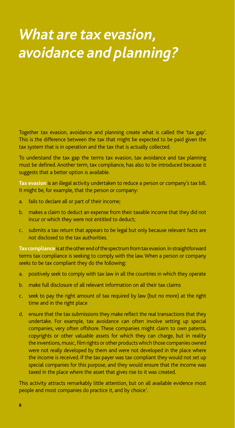# *What are tax evasion, avoidance and planning?*

Together tax evasion, avoidance and planning create what is called the 'tax gap'. This is the difference between the tax that might be expected to be paid given the tax system that is in operation and the tax that is actually collected.

To understand the tax gap the terms tax evasion, tax avoidance and tax planning must be defined. Another term, tax compliance, has also to be introduced because it suggests that a better option is available.

**Tax evasion** is an illegal activity undertaken to reduce a person or company's tax bill. It might be, for example, that the person or company:

- a. fails to declare all or part of their income;
- b. makes a claim to deduct an expense from their taxable income that they did not incur or which they were not entitled to deduct;
- c. submits a tax return that appears to be legal but only because relevant facts are not disclosed to the tax authorities.

**Taxcompliance** is at the other end of the spectrum from tax evasion. In straightforward terms tax compliance is seeking to comply with the law. When a person or company seeks to be tax compliant they do the following:

- a. positively seek to comply with tax law in all the countries in which they operate
- b. make full disclosure of all relevant information on all their tax claims
- c. seek to pay the right amount of tax required by law (but no more) at the right time and in the right place
- d. ensure that the tax submissions they make reflect the real transactions that they undertake. For example, tax avoidance can often involve setting up special companies, very often offshore. These companies might claim to own patents, copyrights or other valuable assets for which they can charge, but in reality the inventions, music, film rights or other products which those companies owned were not really developed by them and were not developed in the place where the income is received. If the tax payer was tax compliant they would not set up special companies for this purpose, and they would ensure that the income was taxed in the place where the asset that gives rise to it was created.

This activity attracts remarkably little attention, but on all available evidence most people and most companies do practice it, and by choice<sup>1</sup>.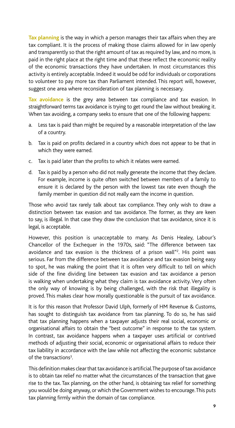**Tax planning** is the way in which a person manages their tax affairs when they are tax compliant. It is the process of making those claims allowed for in law openly and transparently so that the right amount of tax as required by law, and no more, is paid in the right place at the right time and that these reflect the economic reality of the economic transactions they have undertaken. In most circumstances this activity is entirely acceptable. Indeed it would be odd for individuals or corporations to volunteer to pay more tax than Parliament intended. This report will, however, suggest one area where reconsideration of tax planning is necessary.

**Tax avoidance** is the grey area between tax compliance and tax evasion. In straightforward terms tax avoidance is trying to get round the law without breaking it. When tax avoiding, a company seeks to ensure that one of the following happens:

- a. Less tax is paid than might be required by a reasonable interpretation of the law of a country.
- b. Tax is paid on profits declared in a country which does not appear to be that in which they were earned.
- c. Tax is paid later than the profits to which it relates were earned.
- d. Tax is paid by a person who did not really generate the income that they declare. For example, income is quite often switched between members of a family to ensure it is declared by the person with the lowest tax rate even though the family member in question did not really earn the income in question.

Those who avoid tax rarely talk about tax compliance. They only wish to draw a distinction between tax evasion and tax avoidance. The former, as they are keen to say, is illegal. In that case they draw the conclusion that tax avoidance, since it is legal, is acceptable.

However, this position is unacceptable to many. As Denis Healey, Labour's Chancellor of the Exchequer in the 1970s, said: "The difference between tax avoidance and tax evasion is the thickness of a prison wall"<sup>2</sup>. His point was serious. Far from the difference between tax avoidance and tax evasion being easy to spot, he was making the point that it is often very difficult to tell on which side of the fine dividing line between tax evasion and tax avoidance a person is walking when undertaking what they claim is tax avoidance activity. Very often the only way of knowing is by being challenged, with the risk that illegality is proved. This makes clear how morally questionable is the pursuit of tax avoidance.

It is for this reason that Professor David Ulph, formerly of HM Revenue & Customs, has sought to distinguish tax avoidance from tax planning. To do so, he has said that tax planning happens when a taxpayer adjusts their real social, economic or organisational affairs to obtain the "best outcome" in response to the tax system. In contrast, tax avoidance happens when a taxpayer uses artificial or contrived methods of adjusting their social, economic or organisational affairs to reduce their tax liability in accordance with the law while not affecting the economic substance of the transactions<sup>3</sup>.

This definition makes clear that tax avoidance is artificial. The purpose of tax avoidance is to obtain tax relief no matter what the circumstances of the transaction that gave rise to the tax. Tax planning, on the other hand, is obtaining tax relief for something you would be doing anyway, or which the Government wishes to encourage. This puts tax planning firmly within the domain of tax compliance.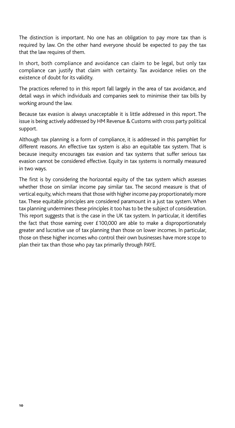The distinction is important. No one has an obligation to pay more tax than is required by law. On the other hand everyone should be expected to pay the tax that the law requires of them.

In short, both compliance and avoidance can claim to be legal, but only tax compliance can justify that claim with certainty. Tax avoidance relies on the existence of doubt for its validity.

The practices referred to in this report fall largely in the area of tax avoidance, and detail ways in which individuals and companies seek to minimise their tax bills by working around the law.

Because tax evasion is always unacceptable it is little addressed in this report. The issue is being actively addressed by HM Revenue & Customs with cross party political support.

Although tax planning is a form of compliance, it is addressed in this pamphlet for different reasons. An effective tax system is also an equitable tax system. That is because inequity encourages tax evasion and tax systems that suffer serious tax evasion cannot be considered effective. Equity in tax systems is normally measured in two ways.

The first is by considering the horizontal equity of the tax system which assesses whether those on similar income pay similar tax. The second measure is that of vertical equity, which means that those with higher income pay proportionately more tax. These equitable principles are considered paramount in a just tax system. When tax planning undermines these principles it too has to be the subject of consideration. This report suggests that is the case in the UK tax system. In particular, it identifies the fact that those earning over £100,000 are able to make a disproportionately greater and lucrative use of tax planning than those on lower incomes. In particular, those on these higher incomes who control their own businesses have more scope to plan their tax than those who pay tax primarily through PAYE.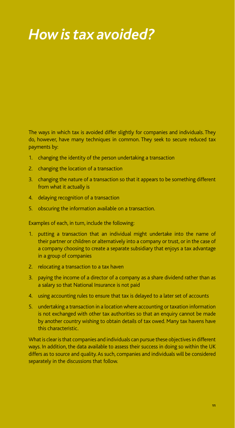# *How is tax avoided?*

The ways in which tax is avoided differ slightly for companies and individuals. They do, however, have many techniques in common. They seek to secure reduced tax payments by:

- 1. changing the identity of the person undertaking a transaction
- 2. changing the location of a transaction
- 3. changing the nature of a transaction so that it appears to be something different from what it actually is
- 4. delaying recognition of a transaction
- 5. obscuring the information available on a transaction.

Examples of each, in turn, include the following:

- 1. putting a transaction that an individual might undertake into the name of their partner or children or alternatively into a company or trust, or in the case of a company choosing to create a separate subsidiary that enjoys a tax advantage in a group of companies
- 2. relocating a transaction to a tax haven
- 3. paying the income of a director of a company as a share dividend rather than as a salary so that National Insurance is not paid
- 4. using accounting rules to ensure that tax is delayed to a later set of accounts
- 5. undertaking a transaction in a location where accounting or taxation information is not exchanged with other tax authorities so that an enquiry cannot be made by another country wishing to obtain details of tax owed. Many tax havens have this characteristic.

What is clear is that companies and individuals can pursue these objectives in different ways. In addition, the data available to assess their success in doing so within the UK differs as to source and quality. As such, companies and individuals will be considered separately in the discussions that follow.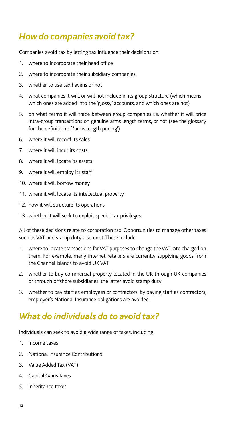## *How do companies avoid tax?*

Companies avoid tax by letting tax influence their decisions on:

- 1. where to incorporate their head office
- 2. where to incorporate their subsidiary companies
- 3. whether to use tax havens or not
- 4. what companies it will, or will not include in its group structure (which means which ones are added into the 'glossy' accounts, and which ones are not)
- 5. on what terms it will trade between group companies i.e. whether it will price intra-group transactions on genuine arms length terms, or not (see the glossary for the definition of 'arms length pricing')
- 6. where it will record its sales
- 7. where it will incur its costs
- 8. where it will locate its assets
- 9. where it will employ its staff
- 10. where it will borrow money
- 11. where it will locate its intellectual property
- 12. how it will structure its operations
- 13. whether it will seek to exploit special tax privileges.

All of these decisions relate to corporation tax. Opportunities to manage other taxes such as VAT and stamp duty also exist. These include:

- 1. where to locate transactions for VAT purposes to change the VAT rate charged on them. For example, many internet retailers are currently supplying goods from the Channel Islands to avoid UK VAT
- 2. whether to buy commercial property located in the UK through UK companies or through offshore subsidiaries: the latter avoid stamp duty
- 3. whether to pay staff as employees or contractors: by paying staff as contractors, employer's National Insurance obligations are avoided.

## *What do individuals do to avoid tax?*

Individuals can seek to avoid a wide range of taxes, including:

- 1. income taxes
- 2. National Insurance Contributions
- 3. Value Added Tax (VAT)
- 4. Capital Gains Taxes
- 5. inheritance taxes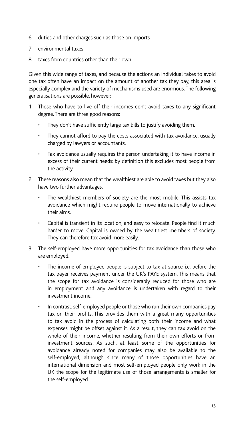- 6. duties and other charges such as those on imports
- 7. environmental taxes
- 8. taxes from countries other than their own.

Given this wide range of taxes, and because the actions an individual takes to avoid one tax often have an impact on the amount of another tax they pay, this area is especially complex and the variety of mechanisms used are enormous. The following generalisations are possible, however:

- 1. Those who have to live off their incomes don't avoid taxes to any significant degree. There are three good reasons:
	- They don't have sufficiently large tax bills to justify avoiding them.
	- They cannot afford to pay the costs associated with tax avoidance, usually charged by lawyers or accountants.
	- Tax avoidance usually requires the person undertaking it to have income in excess of their current needs: by definition this excludes most people from the activity.
- 2. These reasons also mean that the wealthiest are able to avoid taxes but they also have two further advantages.
	- The wealthiest members of society are the most mobile. This assists tax avoidance which might require people to move internationally to achieve their aims.
	- Capital is transient in its location, and easy to relocate. People find it much harder to move. Capital is owned by the wealthiest members of society. They can therefore tax avoid more easily.
- 3. The self-employed have more opportunities for tax avoidance than those who are employed.
	- The income of employed people is subject to tax at source i.e. before the tax payer receives payment under the UK's PAYE system. This means that the scope for tax avoidance is considerably reduced for those who are in employment and any avoidance is undertaken with regard to their investment income.
	- In contrast, self-employed people or those who run their own companies pay tax on their profits. This provides them with a great many opportunities to tax avoid in the process of calculating both their income and what expenses might be offset against it. As a result, they can tax avoid on the whole of their income, whether resulting from their own efforts or from investment sources. As such, at least some of the opportunities for avoidance already noted for companies may also be available to the self-employed, although since many of those opportunities have an international dimension and most self-employed people only work in the UK the scope for the legitimate use of those arrangements is smaller for the self-employed.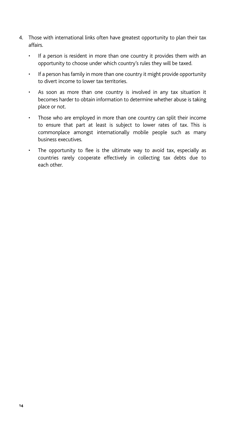- 4. Those with international links often have greatest opportunity to plan their tax affairs.
	- If a person is resident in more than one country it provides them with an opportunity to choose under which country's rules they will be taxed.
	- If a person has family in more than one country it might provide opportunity to divert income to lower tax territories.
	- As soon as more than one country is involved in any tax situation it becomes harder to obtain information to determine whether abuse is taking place or not.
	- Those who are employed in more than one country can split their income to ensure that part at least is subject to lower rates of tax. This is commonplace amongst internationally mobile people such as many business executives.
	- The opportunity to flee is the ultimate way to avoid tax, especially as countries rarely cooperate effectively in collecting tax debts due to each other.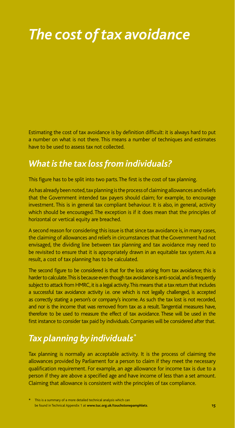# *The cost of tax avoidance*

Estimating the cost of tax avoidance is by definition difficult: it is always hard to put a number on what is not there. This means a number of techniques and estimates have to be used to assess tax not collected.

## *What is the tax loss from individuals?*

This figure has to be split into two parts. The first is the cost of tax planning.

As has already been noted, tax planning is the process of claiming allowances and reliefs that the Government intended tax payers should claim; for example, to encourage investment. This is in general tax compliant behaviour. It is also, in general, activity which should be encouraged. The exception is if it does mean that the principles of horizontal or vertical equity are breached.

A second reason for considering this issue is that since tax avoidance is, in many cases, the claiming of allowances and reliefs in circumstances that the Government had not envisaged, the dividing line between tax planning and tax avoidance may need to be revisited to ensure that it is appropriately drawn in an equitable tax system. As a result, a cost of tax planning has to be calculated.

The second figure to be considered is that for the loss arising from tax avoidance; this is harder to calculate. This is because even though tax avoidance is anti-social, and is frequently subject to attack from HMRC, it is a legal activity. This means that a tax return that includes a successful tax avoidance activity i.e. one which is not legally challenged, is accepted as correctly stating a person's or company's income. As such the tax lost is not recorded, and nor is the income that was removed from tax as a result. Tangential measures have, therefore to be used to measure the effect of tax avoidance. These will be used in the first instance to consider tax paid by individuals. Companies will be considered after that.

## *Tax planning by individuals\**

Tax planning is normally an acceptable activity. It is the process of claiming the allowances provided by Parliament for a person to claim if they meet the necessary qualification requirement. For example, an age allowance for income tax is due to a person if they are above a specified age and have income of less than a set amount. Claiming that allowance is consistent with the principles of tax compliance.

This is a summary of a more detailed technical analysis which can be found in Technical Appendix 1 at **www.tuc.org.uk/touchstonepamphlets**.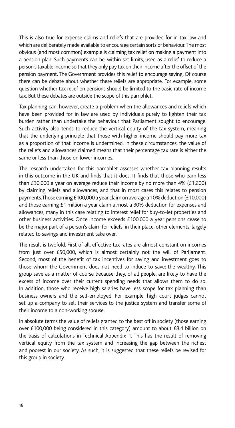This is also true for expense claims and reliefs that are provided for in tax law and which are deliberately made available to encourage certain sorts of behaviour. The most obvious (and most common) example is claiming tax relief on making a payment into a pension plan. Such payments can be, within set limits, used as a relief to reduce a person's taxable income so that they only pay tax on their income after the offset of the pension payment. The Government provides this relief to encourage saving. Of course there can be debate about whether these reliefs are appropriate. For example, some question whether tax relief on pensions should be limited to the basic rate of income tax. But these debates are outside the scope of this pamphlet.

Tax planning can, however, create a problem when the allowances and reliefs which have been provided for in law are used by individuals purely to lighten their tax burden rather than undertake the behaviour that Parliament sought to encourage. Such activity also tends to reduce the vertical equity of the tax system, meaning that the underlying principle that those with higher income should pay more tax as a proportion of that income is undermined. In these circumstances, the value of the reliefs and allowances claimed means that their percentage tax rate is either the same or less than those on lower incomes.

The research undertaken for this pamphlet assesses whether tax planning results in this outcome in the UK and finds that it does. It finds that those who earn less than £30,000 a year on average reduce their income by no more than 4% (£1,200) by claiming reliefs and allowances, and that in most cases this relates to pension payments. Those earning £100,000 a year claim on average a 10% deduction (£10,000) and those earning £1 million a year claim almost a 30% deduction for expenses and allowances, many in this case relating to interest relief for buy-to-let properties and other business activities. Once income exceeds £100,000 a year pensions cease to be the major part of a person's claim for reliefs; in their place, other elements, largely related to savings and investment take over.

The result is twofold. First of all, effective tax rates are almost constant on incomes from just over £50,000, which is almost certainly not the will of Parliament. Second, most of the benefit of tax incentives for saving and investment goes to those whom the Government does not need to induce to save: the wealthy. This group save as a matter of course because they, of all people, are likely to have the excess of income over their current spending needs that allows them to do so. In addition, those who receive high salaries have less scope for tax planning than business owners and the self-employed. For example, high court judges cannot set up a company to sell their services to the justice system and transfer some of their income to a non-working spouse.

In absolute terms the value of reliefs granted to the best off in society (those earning over £100,000 being considered in this category) amount to about £8.4 billion on the basis of calculations in Technical Appendix 1. This has the result of removing vertical equity from the tax system and increasing the gap between the richest and poorest in our society. As such, it is suggested that these reliefs be revised for this group in society.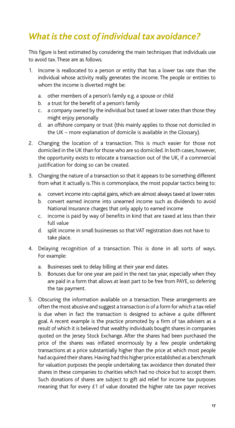## *What is the cost of individual tax avoidance?*

This figure is best estimated by considering the main techniques that individuals use to avoid tax. These are as follows.

- 1. Income is reallocated to a person or entity that has a lower tax rate than the individual whose activity really generates the income. The people or entities to whom the income is diverted might be:
	- a. other members of a person's family e.g. a spouse or child
	- b. a trust for the benefit of a person's family
	- c. a company owned by the individual but taxed at lower rates than those they might enjoy personally
	- d. an offshore company or trust (this mainly applies to those not domiciled in the UK – more explanation of domicile is available in the Glossary).
- 2. Changing the location of a transaction. This is much easier for those not domiciled in the UK than for those who are so domiciled. In both cases, however, the opportunity exists to relocate a transaction out of the UK, if a commercial justification for doing so can be created.
- 3. Changing the nature of a transaction so that it appears to be something different from what it actually is. This is commonplace, the most popular tactics being to:
	- a. convert income into capital gains, which are almost always taxed at lower rates
	- b. convert earned income into unearned income such as dividends to avoid National Insurance charges that only apply to earned income
	- c. income is paid by way of benefits in kind that are taxed at less than their full value
	- d. split income in small businesses so that VAT registration does not have to take place.
- 4. Delaying recognition of a transaction. This is done in all sorts of ways. For example:
	- a. Businesses seek to delay billing at their year end dates.
	- b. Bonuses due for one year are paid in the next tax year, especially when they are paid in a form that allows at least part to be free from PAYE, so deferring the tax payment.
- 5. Obscuring the information available on a transaction. These arrangements are often the most abusive and suggest a transaction is of a form for which a tax relief is due when in fact the transaction is designed to achieve a quite different goal. A recent example is the practice promoted by a firm of tax advisers as a result of which it is believed that wealthy individuals bought shares in companies quoted on the Jersey Stock Exchange. After the shares had been purchased the price of the shares was inflated enormously by a few people undertaking transactions at a price substantially higher than the price at which most people had acquired their shares. Having had this higher price established as a benchmark for valuation purposes the people undertaking tax avoidance then donated their shares in these companies to charities which had no choice but to accept them. Such donations of shares are subject to gift aid relief for income tax purposes meaning that for every £1 of value donated the higher rate tax payer receives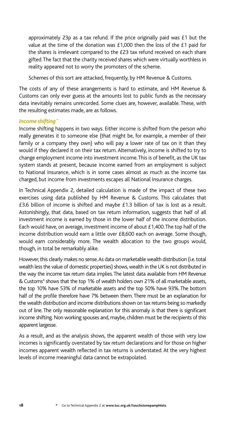approximately 23p as a tax refund. If the price originally paid was £1 but the value at the time of the donation was £1,000 then the loss of the £1 paid for the shares is irrelevant compared to the £23 tax refund received on each share gifted. The fact that the charity received shares which were virtually worthless in reality appeared not to worry the promoters of the scheme.

Schemes of this sort are attacked, frequently, by HM Revenue & Customs.

The costs of any of these arrangements is hard to estimate, and HM Revenue & Customs can only ever guess at the amounts lost to public funds as the necessary data inevitably remains unrecorded. Some clues are, however, available. These, with the resulting estimates made, are as follows.

#### *Income shifting\**

Income shifting happens in two ways. Either income is shifted from the person who really generates it to someone else (that might be, for example, a member of their family or a company they own) who will pay a lower rate of tax on it than they would if they declared it on their tax return. Alternatively, income is shifted to try to change employment income into investment income. This is of benefit, as the UK tax system stands at present, because income earned from an employment is subject to National Insurance, which is in some cases almost as much as the income tax charged, but income from investments escapes all National Insurance charges.

In Technical Appendix 2, detailed calculation is made of the impact of these two exercises using data published by HM Revenue & Customs. This calculates that £3.6 billion of income is shifted and maybe £1.3 billion of tax is lost as a result. Astonishingly, that data, based on tax return information, suggests that half of all investment income is earned by those in the lower half of the income distribution. Each would have, on average, investment income of about £1,400. The top half of the income distribution would earn a little over £8,600 each on average. Some though, would earn considerably more. The wealth allocation to the two groups would, though, in total be remarkably alike.

However, this clearly makes no sense. As data on marketable wealth distribution (i.e. total wealth less the value of domestic properties) shows, wealth in the UK is not distributed in the way the income tax return data implies. The latest data available from HM Revenue & Customs<sup>4</sup> shows that the top 1% of wealth holders own 21% of all marketable assets, the top 10% have 53% of marketable assets and the top 50% have 93%. The bottom half of the profile therefore have 7% between them. There must be an explanation for the wealth distribution and income distributions shown on tax returns being so markedly out of line. The only reasonable explanation for this anomaly is that there is significant income shifting. Non working spouses and, maybe, children must be the recipients of this apparent largesse.

As a result, and as the analysis shows, the apparent wealth of those with very low incomes is significantly overstated by tax return declarations and for those on higher incomes apparent wealth reflected in tax returns is understated. At the very highest levels of income meaningful data cannot be extrapolated.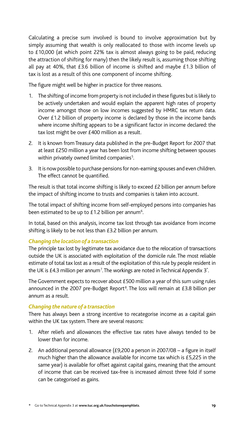Calculating a precise sum involved is bound to involve approximation but by simply assuming that wealth is only reallocated to those with income levels up to £10,000 (at which point 22% tax is almost always going to be paid, reducing the attraction of shifting for many) then the likely result is, assuming those shifting all pay at 40%, that £3.6 billion of income is shifted and maybe £1.3 billion of tax is lost as a result of this one component of income shifting.

The figure might well be higher in practice for three reasons.

- 1. The shifting of income from property is not included in these figures but is likely to be actively undertaken and would explain the apparent high rates of property income amongst those on low incomes suggested by HMRC tax return data. Over £1.2 billion of property income is declared by those in the income bands where income shifting appears to be a significant factor in income declared: the tax lost might be over £400 million as a result.
- 2. It is known from Treasury data published in the pre-Budget Report for 2007 that at least £250 million a year has been lost from income shifting between spouses within privately owned limited companies<sup>5</sup>. .
- 3. It is now possible to purchase pensions for non-earning spouses and even children. The effect cannot be quantified.

The result is that total income shifting is likely to exceed £2 billion per annum before the impact of shifting income to trusts and companies is taken into account.

The total impact of shifting income from self-employed persons into companies has been estimated to be up to  $£1.2$  billion per annum<sup>6</sup>.

In total, based on this analysis, income tax lost through tax avoidance from income shifting is likely to be not less than £3.2 billion per annum.

## *Changing the location of a transaction*

The principle tax lost by legitimate tax avoidance due to the relocation of transactions outside the UK is associated with exploitation of the domicile rule. The most reliable estimate of total tax lost as a result of the exploitation of this rule by people resident in the UK is £4.3 million per annum<sup>7</sup>. The workings are noted in Technical Appendix 3<sup>\*</sup>.

The Government expects to recover about £500 million a year of this sum using rules announced in the 2007 pre-Budget Report<sup>8</sup>. The loss will remain at  $E3.8$  billion per annum as a result.

## *Changing the nature of a transaction*

There has always been a strong incentive to recategorise income as a capital gain within the UK tax system. There are several reasons:

- 1. After reliefs and allowances the effective tax rates have always tended to be lower than for income.
- 2. An additional personal allowance (£9,200 a person in 2007/08 a figure in itself much higher than the allowance available for income tax which is £5,225 in the same year) is available for offset against capital gains, meaning that the amount of income that can be received tax-free is increased almost three fold if some can be categorised as gains.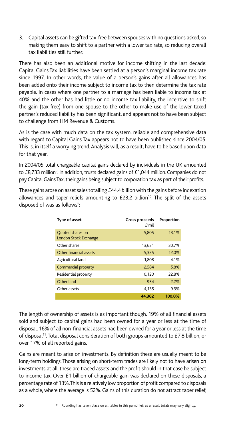3. Capital assets can be gifted tax-free between spouses with no questions asked, so making them easy to shift to a partner with a lower tax rate, so reducing overall tax liabilities still further.

There has also been an additional motive for income shifting in the last decade: Capital Gains Tax liabilities have been settled at a person's marginal income tax rate since 1997. In other words, the value of a person's gains after all allowances has been added onto their income subject to income tax to then determine the tax rate payable. In cases where one partner to a marriage has been liable to income tax at 40% and the other has had little or no income tax liability, the incentive to shift the gain (tax-free) from one spouse to the other to make use of the lower taxed partner's reduced liability has been significant, and appears not to have been subject to challenge from HM Revenue & Customs.

As is the case with much data on the tax system, reliable and comprehensive data with regard to Capital Gains Tax appears not to have been published since 2004/05. This is, in itself a worrying trend. Analysis will, as a result, have to be based upon data for that year.

In 2004/05 total chargeable capital gains declared by individuals in the UK amounted to £8,733 million<sup>9</sup>. In addition, trusts declared gains of £1,044 million. Companies do not pay Capital Gains Tax, their gains being subject to corporation tax as part of their profits.

These gains arose on asset sales totalling £44.4 billion with the gains before indexation allowances and taper reliefs amounting to  $E23.2$  billion<sup>10</sup>. The split of the assets disposed of was as follows<sup>\*</sup>: :

| Type of asset                             | Gross proceeds<br>E'mil | Proportion |
|-------------------------------------------|-------------------------|------------|
| Quoted shares on<br>London Stock Exchange | 5,805                   | 13.1%      |
| Other shares                              | 13,631                  | 30.7%      |
| Other financial assets                    | 5,325                   | 12.0%      |
| Agricultural land                         | 1.808                   | 4.1%       |
| Commercial property                       | 2,584                   | 5.8%       |
| Residential property                      | 10,120                  | 22.8%      |
| Other land                                | 954                     | 2.2%       |
| Other assets                              | 4,135                   | 9.3%       |
|                                           | 44.362                  | 100.0%     |

The length of ownership of assets is as important though. 19% of all financial assets sold and subject to capital gains had been owned for a year or less at the time of disposal. 16% of all non-financial assets had been owned for a year or less at the time of disposal<sup>11</sup>. Total disposal consideration of both groups amounted to £7.8 billion, or over 17% of all reported gains.

Gains are meant to arise on investments. By definition these are usually meant to be long-term holdings. Those arising on short-term trades are likely not to have arisen on investments at all: these are traded assets and the profit should in that case be subject to income tax. Over £1 billion of chargeable gain was declared on these disposals, a percentage rate of 13%. This is a relatively low proportion of profit compared to disposals as a whole, where the average is 52%. Gains of this duration do not attract taper relief,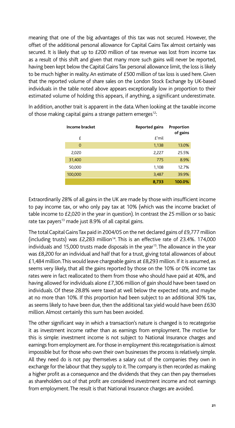meaning that one of the big advantages of this tax was not secured. However, the offset of the additional personal allowance for Capital Gains Tax almost certainly was secured. It is likely that up to £200 million of tax revenue was lost from income tax as a result of this shift and given that many more such gains will never be reported, having been kept below the Capital Gains Tax personal allowance limit, the loss is likely to be much higher in reality. An estimate of £500 million of tax loss is used here. Given that the reported volume of share sales on the London Stock Exchange by UK-based individuals in the table noted above appears exceptionally low in proportion to their estimated volume of holding this appears, if anything, a significant underestimate.

| Income bracket | Reported gains | Proportion<br>of gains |
|----------------|----------------|------------------------|
| £              | E'mil          |                        |
| $\Omega$       | 1,138          | 13.0%                  |
| 2,020          | 2,227          | 25.5%                  |
| 31,400         | 775            | 8.9%                   |
| 50,000         | 1,108          | 12.7%                  |
| 100,000        | 3,487          | 39.9%                  |
|                | 8,733          | 100.0%                 |

In addition, another trait is apparent in the data. When looking at the taxable income of those making capital gains a strange pattern emerges<sup>12</sup>:

Extraordinarily 28% of all gains in the UK are made by those with insufficient income to pay income tax, or who only pay tax at 10% (which was the income bracket of table income to £2,020 in the year in question). In contrast the 25 million or so basic rate tax payers<sup>13</sup> made just 8.9% of all capital gains.

The total Capital Gains Tax paid in 2004/05 on the net declared gains of £9,777 million (including trusts) was £2,283 million<sup>14</sup>. This is an effective rate of 23.4%. 174,000 individuals and 15,000 trusts made disposals in the year<sup>15</sup>. The allowance in the year was £8,200 for an individual and half that for a trust, giving total allowances of about £1,484 million. This would leave chargeable gains at £8,293 million. If it is assumed, as seems very likely, that all the gains reported by those on the 10% or 0% income tax rates were in fact reallocated to them from those who should have paid at 40%, and having allowed for individuals alone £7,306 million of gain should have been taxed on individuals. Of these 28.8% were taxed at well below the expected rate, and maybe at no more than 10%. If this proportion had been subject to an additional 30% tax, as seems likely to have been due, then the additional tax yield would have been £630 million. Almost certainly this sum has been avoided.

The other significant way in which a transaction's nature is changed is to recategorise it as investment income rather than as earnings from employment. The motive for this is simple: investment income is not subject to National Insurance charges and earnings from employment are. For those in employment this recategorisation is almost impossible but for those who own their own businesses the process is relatively simple. All they need do is not pay themselves a salary out of the companies they own in exchange for the labour that they supply to it. The company is then recorded as making a higher profit as a consequence and the dividends that they can then pay themselves as shareholders out of that profit are considered investment income and not earnings from employment. The result is that National Insurance charges are avoided.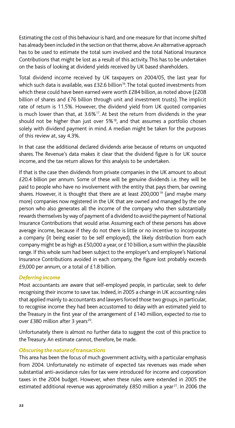Estimating the cost of this behaviour is hard, and one measure for that income shifted has already been included in the section on that theme, above. An alternative approach has to be used to estimate the total sum involved and the total National Insurance Contributions that might be lost as a result of this activity. This has to be undertaken on the basis of looking at dividend yields received by UK based shareholders.

Total dividend income received by UK taxpayers on 2004/05, the last year for which such data is available, was £32.6 billion<sup>16</sup>. The total quoted investments from which these could have been earned were worth £284 billion, as noted above (£208 billion of shares and £76 billion through unit and investment trusts). The implicit rate of return is 11.5%. However, the dividend yield from UK quoted companies is much lower than that, at  $3.6\%$ <sup>17</sup>. At best the return from dividends in the year should not be higher than just over  $5\%$ <sup>18</sup>, and that assumes a portfolio chosen solely with dividend payment in mind. A median might be taken for the purposes of this review at, say 4.3%.

In that case the additional declared dividends arise because of returns on unquoted shares. The Revenue's data makes it clear that the dividend figure is for UK source income, and the tax return allows for this analysis to be undertaken.

If that is the case then dividends from private companies in the UK amount to about £20.4 billion per annum. Some of these will be genuine dividends i.e. they will be paid to people who have no involvement with the entity that pays them, bar owning shares. However, it is thought that there are at least  $200,000^{19}$  (and maybe many more) companies now registered in the UK that are owned and managed by the one person who also generates all the income of the company who then substantially rewards themselves by way of payment of a dividend to avoid the payment of National Insurance Contributions that would arise. Assuming each of these persons has above average income, because if they do not there is little or no incentive to incorporate a company (it being easier to be self employed), the likely distribution from each company might be as high as £50,000 a year, or £10 billion, a sum within the plausible range. If this whole sum had been subject to the employer's and employee's National Insurance Contributions avoided in each company, the figure lost probably exceeds £9,000 per annum, or a total of £1.8 billion.

#### *Deferring income*

Most accountants are aware that self-employed people, in particular, seek to defer recognising their income to save tax. Indeed, in 2005 a change in UK accounting rules that applied mainly to accountants and lawyers forced those two groups, in particular, to recognise income they had been accustomed to delay with an estimated yield to the Treasury in the first year of the arrangement of £140 million, expected to rise to over £380 million after 3 years $^{20}$ .

Unfortunately there is almost no further data to suggest the cost of this practice to the Treasury. An estimate cannot, therefore, be made.

#### *Obscuring the nature of transactions*

This area has been the focus of much government activity, with a particular emphasis from 2004. Unfortunately no estimate of expected tax revenues was made when substantial anti-avoidance rules for tax were introduced for income and corporation taxes in the 2004 budget. However, when these rules were extended in 2005 the estimated additional revenue was approximately £850 million a year<sup>21</sup>. In 2006 the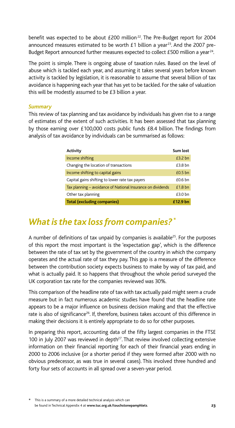benefit was expected to be about £200 million<sup>22</sup>. The Pre-Budget report for 2004 announced measures estimated to be worth  $£1$  billion a year<sup>23</sup>. And the 2007 pre-Budget Report announced further measures expected to collect £500 million a year<sup>24</sup>.

The point is simple. There is ongoing abuse of taxation rules. Based on the level of abuse which is tackled each year, and assuming it takes several years before known activity is tackled by legislation, it is reasonable to assume that several billion of tax avoidance is happening each year that has yet to be tackled. For the sake of valuation this will be modestly assumed to be £3 billion a year.

#### *Summary*

This review of tax planning and tax avoidance by individuals has given rise to a range of estimates of the extent of such activities. It has been assessed that tax planning by those earning over £100,000 costs public funds £8.4 billion. The findings from analysis of tax avoidance by individuals can be summarised as follows:

| Activity                                                    | Sum lost  |
|-------------------------------------------------------------|-----------|
| Income shifting                                             | $£3.2$ bn |
| Changing the location of transactions                       | $£3.8$ bn |
| Income shifting to capital gains                            | $£0.5$ bn |
| Capital gains shifting to lower rate tax payers             | $£0.6$ bn |
| Tax planning – avoidance of National Insurance on dividends | $£1.8$ bn |
| Other tax planning                                          | $£3.0$ bn |
| <b>Total (excluding companies)</b>                          | £12.9 bn  |

## *What is the tax loss from companies? \**

A number of definitions of tax unpaid by companies is available<sup>25</sup>. For the purposes of this report the most important is the 'expectation gap', which is the difference between the rate of tax set by the government of the country in which the company operates and the actual rate of tax they pay. This gap is a measure of the difference between the contribution society expects business to make by way of tax paid, and what is actually paid. It so happens that throughout the whole period surveyed the UK corporation tax rate for the companies reviewed was 30%.

This comparison of the headline rate of tax with tax actually paid might seem a crude measure but in fact numerous academic studies have found that the headline rate appears to be a major influence on business decision making and that the effective rate is also of significance<sup>26</sup>. If, therefore, business takes account of this difference in making their decisions it is entirely appropriate to do so for other purposes.

In preparing this report, accounting data of the fifty largest companies in the FTSE 100 in July 2007 was reviewed in depth $27$ . That review involved collecting extensive information on their financial reporting for each of their financial years ending in 2000 to 2006 inclusive (or a shorter period if they were formed after 2000 with no obvious predecessor, as was true in several cases). This involved three hundred and forty four sets of accounts in all spread over a seven-year period.

<sup>\*</sup> This is a summary of a more detailed technical analysis which can be found in Technical Appendix 4 at **www.tuc.org.uk/touchstonepamphlets**.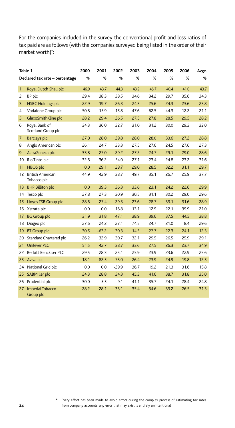For the companies included in the survey the conventional profit and loss ratios of tax paid are as follows (with the companies surveyed being listed in the order of their market worth)\*: :

|              | Table 1                                | 2000    | 2001    | 2002    | 2003    | 2004    | 2005    | 2006    | Avge.   |
|--------------|----------------------------------------|---------|---------|---------|---------|---------|---------|---------|---------|
|              | Declared tax rate - percentage         | $\%$    | $\%$    | $\%$    | $\%$    | $\%$    | %       | $\%$    | $\%$    |
| $\mathbf{1}$ | Royal Dutch Shell plc                  | 46.9    | 43.7    | 44.3    | 43.2    | 46.7    | 40.4    | 41.0    | 43.7    |
| 2            | BP plc                                 | 29.4    | 38.3    | 38.5    | 34.6    | 34.2    | 29.7    | 35.6    | 34.3    |
| 3            | <b>HSBC Holdings plc</b>               | 22.9    | 19.7    | 26.3    | 24.3    | 25.6    | 24.3    | 23.6    | 23.8    |
| 4            | Vodafone Group plc                     | 50.8    | $-15.9$ | $-15.8$ | $-47.6$ | $-62.5$ | $-44.3$ | $-12.2$ | $-21.1$ |
| 5            | GlaxoSmithKline plc                    | 28.2    | 29.4    | 26.5    | 27.5    | 27.8    | 28.5    | 29.5    | 28.2    |
| 6            | Royal Bank of<br>Scotland Group plc    | 34.3    | 36.0    | 32.7    | 31.0    | 31.2    | 30.0    | 29.3    | 32.0    |
| 7            | <b>Barclays plc</b>                    | 27.0    | 28.0    | 29.8    | 28.0    | 28.0    | 33.6    | 27.2    | 28.8    |
| 8            | Anglo American plc                     | 26.1    | 24.7    | 33.3    | 27.5    | 27.6    | 24.5    | 27.6    | 27.3    |
| 9            | AstraZeneca plc                        | 33.8    | 27.0    | 29.2    | 27.2    | 24.7    | 29.1    | 29.0    | 28.6    |
| 10           | Rio Tinto plc                          | 32.6    | 36.2    | 54.0    | 27.1    | 23.4    | 24.8    | 23.2    | 31.6    |
| 11           | <b>HBOS</b> plc                        | 0.0     | 29.1    | 28.7    | 29.0    | 28.5    | 32.2    | 31.1    | 29.7    |
| 12           | <b>British American</b><br>Tobacco plc | 44.9    | 42.9    | 38.7    | 49.7    | 35.1    | 26.7    | 25.9    | 37.7    |
| 13           | <b>BHP Billiton plc</b>                | 0.0     | 39.3    | 36.3    | 33.6    | 23.1    | 24.2    | 22.6    | 29.9    |
| 14           | Tesco plc                              | 27.8    | 27.3    | 30.9    | 30.5    | 31.1    | 30.2    | 29.0    | 29.6    |
| 15           | Lloyds TSB Group plc                   | 28.6    | 27.4    | 29.3    | 23.6    | 28.7    | 33.1    | 31.6    | 28.9    |
| 16           | Xstrata plc                            | 0.0     | 0.0     | 16.8    | 13.1    | 12.9    | 22.1    | 39.9    | 21.0    |
| 17           | <b>BG Group plc</b>                    | 31.9    | 31.8    | 47.1    | 38.9    | 39.6    | 37.5    | 44.5    | 38.8    |
| 18           | Diageo plc                             | 27.6    | 24.2    | 27.1    | 74.5    | 24.7    | 21.0    | 8.4     | 29.6    |
| 19           | <b>BT Group plc</b>                    | 30.5    | $-63.2$ | 30.3    | 14.5    | 27.7    | 22.3    | 24.1    | 12.3    |
| 20           | Standard Chartered plc                 | 26.2    | 32.9    | 30.7    | 32.1    | 29.5    | 26.5    | 25.9    | 29.1    |
| 21           | <b>Unilever PLC</b>                    | 51.5    | 42.7    | 38.7    | 33.6    | 27.5    | 26.3    | 23.7    | 34.9    |
| 22           | Reckitt Benckiser PLC                  | 29.5    | 28.3    | 25.1    | 25.9    | 23.9    | 23.6    | 22.9    | 25.6    |
| 23           | Aviva plc                              | $-18.1$ | 82.5    | $-73.0$ | 26.4    | 23.9    | 24.9    | 19.8    | 12.3    |
| 24           | National Grid plc                      | 0.0     | 0.0     | $-29.9$ | 36.7    | 19.2    | 21.3    | 31.6    | 15.8    |
| 25           | <b>SABMIller plc</b>                   | 24.3    | 28.8    | 34.3    | 45.3    | 41.6    | 38.7    | 31.8    | 35.0    |
| 26           | Prudential plc                         | 30.0    | 5.5     | 9.1     | 41.1    | 35.7    | 24.1    | 28.4    | 24.8    |
| 27           | <b>Imperial Tobacco</b><br>Group plc   | 28.2    | 28.1    | 33.1    | 35.4    | 34.6    | 33.2    | 26.5    | 31.3    |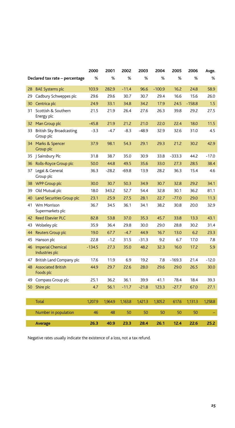|    |                                            | 2000     | 2001    | 2002    | 2003    | 2004     | 2005     | 2006     | Avge.   |
|----|--------------------------------------------|----------|---------|---------|---------|----------|----------|----------|---------|
|    | Declared tax rate - percentage             | %        | %       | %       | %       | %        | %        | %        | %       |
| 28 | <b>BAE</b> Systems plc                     | 103.9    | 282.9   | $-11.4$ | 96.6    | $-100.9$ | 16.2     | 24.8     | 58.9    |
| 29 | Cadbury Schweppes plc                      | 29.6     | 29.6    | 30.7    | 30.7    | 29.4     | 16.6     | 15.6     | 26.0    |
| 30 | Centrica plc                               | 24.9     | 33.1    | 34.8    | 34.2    | 17.9     | 24.5     | $-158.8$ | 1.5     |
| 31 | Scottish & Southern<br>Energy plc          | 21.5     | 21.9    | 26.4    | 27.6    | 26.3     | 39.8     | 29.2     | 27.5    |
| 32 | Man Group plc                              | $-45.8$  | 21.9    | 21.2    | 21.0    | 22.0     | 22.4     | 18.0     | 11.5    |
| 33 | British Sky Broadcasting<br>Group plc      | $-3.3$   | $-4.7$  | $-8.3$  | $-48.9$ | 32.9     | 32.6     | 31.0     | 4.5     |
| 34 | Marks & Spencer<br>Group plc               | 37.9     | 98.1    | 54.3    | 29.1    | 29.3     | 21.2     | 30.2     | 42.9    |
| 35 | J Sainsbury Plc                            | 31.8     | 38.7    | 35.0    | 30.9    | 33.8     | $-333.3$ | 44.2     | $-17.0$ |
| 36 | Rolls-Royce Group plc                      | 50.0     | 44.8    | 49.5    | 35.6    | 33.0     | 27.3     | 28.5     | 38.4    |
| 37 | Legal & General<br>Group plc               | 36.3     | $-28.2$ | $-69.8$ | 13.9    | 28.2     | 36.3     | 15.4     | 4.6     |
| 38 | WPP Group plc                              | 30.0     | 30.7    | 50.3    | 34.9    | 30.7     | 32.8     | 29.2     | 34.1    |
| 39 | Old Mutual plc                             | 18.0     | 343.2   | 52.7    | 54.4    | 32.8     | 30.1     | 36.2     | 81.1    |
| 40 | Land Securities Group plc                  | 23.1     | 25.9    | 27.5    | 28.1    | 22.7     | $-77.0$  | 29.0     | 11.3    |
| 41 | Wm Morrison<br>Supermarkets plc            | 36.7     | 34.5    | 36.1    | 34.1    | 38.2     | 30.8     | 20.0     | 32.9    |
| 42 | <b>Reed Elsevier PLC</b>                   | 82.8     | 53.8    | 37.0    | 35.3    | 45.7     | 33.8     | 13.3     | 43.1    |
| 43 | Wolseley plc                               | 35.9     | 36.4    | 29.8    | 30.0    | 29.0     | 28.8     | 30.2     | 31.4    |
| 44 | Reuters Group plc                          | 19.0     | 67.7    | $-4.7$  | 44.9    | 16.7     | 13.0     | 6.2      | 23.3    |
| 45 | Hanson plc                                 | 22.8     | $-1.2$  | 31.5    | -31.3   | 9.2      | 6.7      | 17.0     | 7.8     |
| 46 | <b>Imperial Chemical</b><br>Industries plc | $-134.5$ | 27.3    | 35.0    | 48.2    | 32.3     | 16.0     | 17.2     | 5.9     |
| 47 | British Land Company plc                   | 17.6     | 11.9    | 6.9     | 19.2    | 7.8      | $-169.3$ | 21.4     | $-12.0$ |
| 48 | <b>Associated British</b><br>Foods plc     | 44.9     | 29.7    | 22.6    | 28.0    | 29.6     | 29.0     | 26.5     | 30.0    |
| 49 | Compass Group plc                          | 25.1     | 36.2    | 36.1    | 39.9    | 41.1     | 78.4     | 18.4     | 39.3    |
| 50 | Shire plc                                  | 4.7      | 56.1    | $-11.7$ | $-21.8$ | 123.3    | $-27.7$  | 67.0     | 27.1    |
|    |                                            |          |         |         |         |          |          |          |         |
|    | <b>Total</b>                               | 1,207.9  | 1,964.9 | 1,163.8 | 1,421.3 | 1,305.2  | 617.6    | 1,131.3  | 1,258.8 |
|    | Number in population                       | 46       | 48      | 50      | 50      | 50       | 50       | 50       |         |
|    | <b>Average</b>                             | 26.3     | 40.9    | 23.3    | 28.4    | 26.1     | 12.4     | 22.6     | 25.2    |

Negative rates usually indicate the existence of a loss, not a tax refund.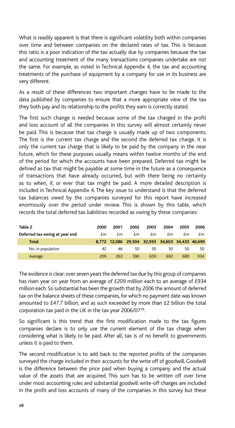What is readily apparent is that there is significant volatility both within companies over time and between companies on the declared rates of tax. This is because this ratio is a poor indication of the tax actually due by companies because the tax and accounting treatment of the many transactions companies undertake are not the same. For example, as noted in Technical Appendix 4, the tax and accounting treatments of the purchase of equipment by a company for use in its business are very different.

As a result of these differences two important changes have to be made to the data published by companies to ensure that a more appropriate view of the tax they both pay and its relationship to the profits they earn is correctly stated.

The first such change is needed because some of the tax charged in the profit and loss account of all the companies in this survey will almost certainly never be paid. This is because that tax charge is usually made up of two components. The first is the current tax charge and the second the deferred tax charge. It is only the current tax charge that is likely to be paid by the company in the near future, which for these purposes usually means within twelve months of the end of the period for which the accounts have been prepared. Deferred tax might be defined as tax that might be payable at some time in the future as a consequence of transactions that have already occurred, but with there being no certainty as to when, if, or ever that tax might be paid. A more detailed description is included in Technical Appendix 4. The key issue to understand is that the deferred tax balances owed by the companies surveyed for this report have increased enormously over the period under review. This is shown by this table, which records the total deferred tax liabilities recorded as owing by these companies:

| Table 2                        | 2000 | 2001 | 2002                                            | 2003 | 2004 | 2005 | 2006 |
|--------------------------------|------|------|-------------------------------------------------|------|------|------|------|
| Deferred tax owing at year end | £m.  | £m   | £m                                              | £m   | £m   | £m   | £m   |
| <b>Total</b>                   |      |      | 8,772 12,086 29,504 32,933 34,603 34,433 46,699 |      |      |      |      |
| No. in population              | 42   | 46   | 50                                              | 50   | 50   | 50   | 50.  |
| Average                        | 209  | 263  | 590                                             | 659  | 692  | 689  | 934  |

The evidence is clear: over seven years the deferred tax due by this group of companies has risen year on year from an average of £209 million each to an average of £934 million each. So substantial has been the growth that by 2006 the amount of deferred tax on the balance sheets of these companies, for which no payment date was known amounted to £47.7 billion, and as such exceeded by more than £2 billion the total corporation tax paid in the UK in the tax year 2006/07<sup>28</sup>.

So significant is this trend that the first modification made to the tax figures companies declare is to only use the current element of the tax charge when considering what is likely to be paid. After all, tax is of no benefit to governments unless it is paid to them.

The second modification is to add back to the reported profits of the companies surveyed the charge included in their accounts for the write off of goodwill. Goodwill is the difference between the price paid when buying a company and the actual value of the assets that are acquired. This sum has to be written off over time under most accounting rules and substantial goodwill write-off charges are included in the profit and loss accounts of many of the companies in this survey but these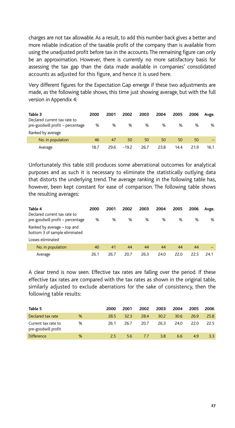charges are not tax allowable. As a result, to add this number back gives a better and more reliable indication of the taxable profit of the company than is available from using the unadjusted profit before tax in the accounts. The remaining figure can only be an approximation. However, there is currently no more satisfactory basis for assessing the tax gap than the data made available in companies' consolidated accounts as adjusted for this figure, and hence it is used here.

Very different figures for the Expectation Gap emerge if these two adjustments are made, as the following table shows, this time just showing average, but with the full version in Appendix 4:

| Table 3                                                          | 2000 | 2001 | 2002    | 2003 | 2004 | 2005 | 2006 | Avge. |
|------------------------------------------------------------------|------|------|---------|------|------|------|------|-------|
| Declared current tax rate to<br>pre-goodwill profit – percentage | %    | %    | %       | %    | %    | %    | %    | %     |
| Ranked by average                                                |      |      |         |      |      |      |      |       |
| No. in population                                                | 46   | 47   | 50      | 50   | 50   | 50   | 50   |       |
| Average                                                          | 18.7 | 29.6 | $-19.2$ | 26.7 | 23.8 | 14.4 | 219  | 16.1  |

Unfortunately this table still produces some aberrational outcomes for analytical purposes and as such it is necessary to eliminate the statistically outlying data that distorts the underlying trend. The average ranking in the following table has, however, been kept constant for ease of comparison. The following table shows the resulting averages:

| Table 4                                                          | 2000 | 2001 | 2002 | 2003 | 2004 | 2005 | 2006 | Avge. |
|------------------------------------------------------------------|------|------|------|------|------|------|------|-------|
| Declared current tax rate to<br>pre-goodwill profit – percentage | %    | %    | %    | %    | %    | %    | %    | %     |
| Ranked by average – top and<br>bottom 3 of sample eliminated     |      |      |      |      |      |      |      |       |
| Losses eliminated                                                |      |      |      |      |      |      |      |       |
| No. in population                                                | 40   | 41   | 44   | 44   | 44   | 44   | 44   |       |
| Average                                                          | 26.1 | 26.7 | 20.7 | 26.3 | 24.0 | 22.0 | 22.5 | 24.1  |

A clear trend is now seen. Effective tax rates are falling over the period. If these effective tax rates are compared with the tax rates as shown in the original table, similarly adjusted to exclude aberrations for the sake of consistency, then the following table results:

| Table 5                                    |   | 2000 | 2001 | 2002 | 2003 | 2004 | 2005 | 2006 |
|--------------------------------------------|---|------|------|------|------|------|------|------|
| Declared tax rate                          | % | 28.5 | 32.3 | 28.4 | 30.2 | 30.6 | 26.9 | 25.8 |
| Current tax rate to<br>pre-goodwill profit | % | 26.1 | 26.7 | 20.7 | 26.3 | 24.0 | 22.O | 22.5 |
| <b>Difference</b>                          | % | 25.  | 5.6  | 77   | 3.8  | 6.6  | 4.9  | 33   |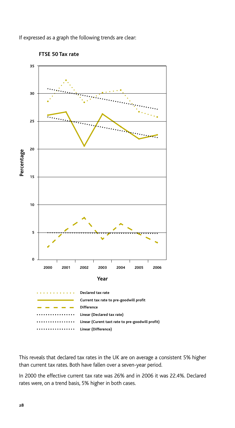If expressed as a graph the following trends are clear:



**FTSE 50 Tax rate**

This reveals that declared tax rates in the UK are on average a consistent 5% higher than current tax rates. Both have fallen over a seven-year period.

In 2000 the effective current tax rate was 26% and in 2006 it was 22.4%. Declared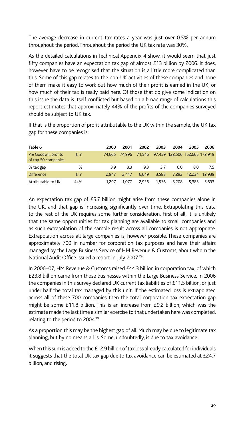The average decrease in current tax rates a year was just over 0.5% per annum throughout the period. Throughout the period the UK tax rate was 30%.

As the detailed calculations in Technical Appendix 4 show, it would seem that just fifty companies have an expectation tax gap of almost £13 billion by 2006. It does, however, have to be recognised that the situation is a little more complicated than this. Some of this gap relates to the non-UK activities of these companies and none of them make it easy to work out how much of their profit is earned in the UK, or how much of their tax is really paid here. Of those that do give some indication on this issue the data is itself conflicted but based on a broad range of calculations this report estimates that approximately 44% of the profits of the companies surveyed should be subject to UK tax.

If that is the proportion of profit attributable to the UK within the sample, the UK tax gap for these companies is:

| Table 6                                     |     | 2000  | 2001          | 2002  | 2003  | 2004                                  | 2005          | 2006  |
|---------------------------------------------|-----|-------|---------------|-------|-------|---------------------------------------|---------------|-------|
| Pre Goodwill profits<br>of top 50 companies | f'm |       | 74.665 74.996 |       |       | 71,546 97,459 122,506 152,665 172,919 |               |       |
| % tax gap                                   | %   | 3.9   | 33            | 93    | 3.7   | 6.0                                   | 8.0           | 7.5   |
| <b>Difference</b>                           | f'm | 2.947 | 2.447         | 6.649 | 3.583 | 7.292                                 | 12.234 12.939 |       |
| Attributable to UK                          | 44% | 1.297 | 1.077         | 2.926 | 1.576 | 3.208                                 | 5.383         | 5.693 |

An expectation tax gap of £5.7 billion might arise from these companies alone in the UK, and that gap is increasing significantly over time. Extrapolating this data to the rest of the UK requires some further consideration. First of all, it is unlikely that the same opportunities for tax planning are available to small companies and as such extrapolation of the sample result across all companies is not appropriate. Extrapolation across all large companies is, however possible. These companies are approximately 700 in number for corporation tax purposes and have their affairs managed by the Large Business Service of HM Revenue & Customs, about whom the National Audit Office issued a report in July 2007<sup>29</sup>.

In 2006–07, HM Revenue & Customs raised £44.3 billion in corporation tax, of which £23.8 billion came from those businesses within the Large Business Service. In 2006 the companies in this survey declared UK current tax liabilities of £11.5 billion, or just under half the total tax managed by this unit. If the estimated loss is extrapolated across all of these 700 companies then the total corporation tax expectation gap might be some £11.8 billion. This is an increase from £9.2 billion, which was the estimate made the last time a similar exercise to that undertaken here was completed, relating to the period to 2004<sup>30</sup>.

As a proportion this may be the highest gap of all. Much may be due to legitimate tax planning, but by no means all is. Some, undoubtedly, is due to tax avoidance.

When this sum is added to the £12.9 billion of tax loss already calculated for individuals it suggests that the total UK tax gap due to tax avoidance can be estimated at £24.7 billion, and rising.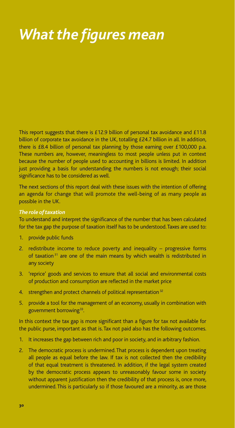# *What the figures mean*

This report suggests that there is £12.9 billion of personal tax avoidance and £11.8 billion of corporate tax avoidance in the UK, totalling £24.7 billion in all. In addition, there is £8.4 billion of personal tax planning by those earning over £100,000 p.a. These numbers are, however, meaningless to most people unless put in context because the number of people used to accounting in billions is limited. In addition just providing a basis for understanding the numbers is not enough; their social significance has to be considered as well.

The next sections of this report deal with these issues with the intention of offering an agenda for change that will promote the well-being of as many people as possible in the UK.

#### *The role of taxation*

To understand and interpret the significance of the number that has been calculated for the tax gap the purpose of taxation itself has to be understood. Taxes are used to:

- 1. provide public funds
- 2. redistribute income to reduce poverty and inequality progressive forms of taxation<sup>31</sup> are one of the main means by which wealth is redistributed in any society
- 3. 'reprice' goods and services to ensure that all social and environmental costs of production and consumption are reflected in the market price
- 4. strengthen and protect channels of political representation<sup>32</sup>
- 5. provide a tool for the management of an economy, usually in combination with government borrowing<sup>33</sup>.

In this context the tax gap is more significant than a figure for tax not available for the public purse, important as that is. Tax not paid also has the following outcomes.

- 1. It increases the gap between rich and poor in society, and in arbitrary fashion.
- 2. The democratic process is undermined. That process is dependent upon treating all people as equal before the law. If tax is not collected then the credibility of that equal treatment is threatened. In addition, if the legal system created by the democratic process appears to unreasonably favour some in society without apparent justification then the credibility of that process is, once more, undermined. This is particularly so if those favoured are a minority, as are those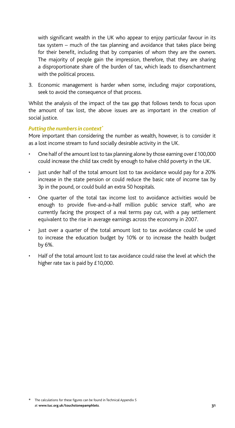with significant wealth in the UK who appear to enjoy particular favour in its tax system – much of the tax planning and avoidance that takes place being for their benefit, including that by companies of whom they are the owners. The majority of people gain the impression, therefore, that they are sharing a disproportionate share of the burden of tax, which leads to disenchantment with the political process.

3. Economic management is harder when some, including major corporations, seek to avoid the consequence of that process.

Whilst the analysis of the impact of the tax gap that follows tends to focus upon the amount of tax lost, the above issues are as important in the creation of social justice.

#### *Putting the numbers in context\**

More important than considering the number as wealth, however, is to consider it as a lost income stream to fund socially desirable activity in the UK.

- One half of the amount lost to tax planning alone by those earning over £100,000 could increase the child tax credit by enough to halve child poverty in the UK.
- Just under half of the total amount lost to tax avoidance would pay for a 20% increase in the state pension or could reduce the basic rate of income tax by 3p in the pound, or could build an extra 50 hospitals.
- One quarter of the total tax income lost to avoidance activities would be enough to provide five-and-a-half million public service staff, who are currently facing the prospect of a real terms pay cut, with a pay settlement equivalent to the rise in average earnings across the economy in 2007.
- Just over a quarter of the total amount lost to tax avoidance could be used to increase the education budget by 10% or to increase the health budget by 6%.
- Half of the total amount lost to tax avoidance could raise the level at which the higher rate tax is paid by £10,000.

<sup>\*</sup> The calculations for these figures can be found in Technical Appendix 5 at **www.tuc.org.uk/touchstonepamphlets**.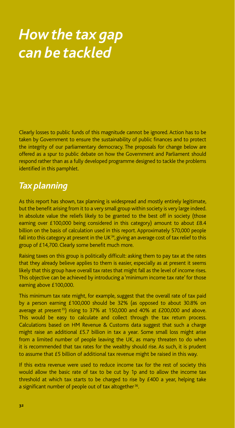# *How the tax gap can be tackled*

Clearly losses to public funds of this magnitude cannot be ignored. Action has to be taken by Government to ensure the sustainability of public finances and to protect the integrity of our parliamentary democracy. The proposals for change below are offered as a spur to public debate on how the Government and Parliament should respond rather than as a fully developed programme designed to tackle the problems identified in this pamphlet.

## *Tax planning*

As this report has shown, tax planning is widespread and mostly entirely legitimate, but the benefit arising from it to a very small group within society is very large indeed. In absolute value the reliefs likely to be granted to the best off in society (those earning over £100,000 being considered in this category) amount to about £8.4 billion on the basis of calculation used in this report. Approximately 570,000 people fall into this category at present in the UK $34$ , giving an average cost of tax relief to this group of £14,700. Clearly some benefit much more.

Raising taxes on this group is politically difficult: asking them to pay tax at the rates that they already believe applies to them is easier, especially as at present it seems likely that this group have overall tax rates that might fall as the level of income rises. This objective can be achieved by introducing a 'minimum income tax rate' for those earning above £100,000.

This minimum tax rate might, for example, suggest that the overall rate of tax paid by a person earning £100,000 should be 32% (as opposed to about 30.8% on average at present<sup>35</sup>) rising to 37% at 150,000 and 40% at £200,000 and above. This would be easy to calculate and collect through the tax return process. Calculations based on HM Revenue & Customs data suggest that such a charge might raise an additional £5.7 billion in tax a year. Some small loss might arise from a limited number of people leaving the UK, as many threaten to do when it is recommended that tax rates for the wealthy should rise. As such, it is prudent to assume that £5 billion of additional tax revenue might be raised in this way.

If this extra revenue were used to reduce income tax for the rest of society this would allow the basic rate of tax to be cut by 1p and to allow the income tax threshold at which tax starts to be charged to rise by £400 a year, helping take a significant number of people out of tax altogether<sup>36</sup>.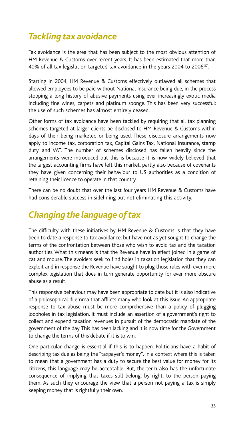## *Tackling tax avoidance*

Tax avoidance is the area that has been subject to the most obvious attention of HM Revenue & Customs over recent years. It has been estimated that more than 40% of all tax legislation targeted tax avoidance in the years 2004 to 200637.

Starting in 2004, HM Revenue & Customs effectively outlawed all schemes that allowed employees to be paid without National Insurance being due, in the process stopping a long history of abusive payments using ever increasingly exotic media including fine wines, carpets and platinum sponge. This has been very successful: the use of such schemes has almost entirely ceased.

Other forms of tax avoidance have been tackled by requiring that all tax planning schemes targeted at larger clients be disclosed to HM Revenue & Customs within days of their being marketed or being used. These disclosure arrangements now apply to income tax, corporation tax, Capital Gains Tax, National Insurance, stamp duty and VAT. The number of schemes disclosed has fallen heavily since the arrangements were introduced but this is because it is now widely believed that the largest accounting firms have left this market, partly also because of covenants they have given concerning their behaviour to US authorities as a condition of retaining their licence to operate in that country.

There can be no doubt that over the last four years HM Revenue & Customs have had considerable success in sidelining but not eliminating this activity.

## *Changing the language of tax*

The difficulty with these initiatives by HM Revenue & Customs is that they have been to date a response to tax avoidance, but have not as yet sought to change the terms of the confrontation between those who wish to avoid tax and the taxation authorities. What this means is that the Revenue have in effect joined in a game of cat and mouse. The avoiders seek to find holes in taxation legislation that they can exploit and in response the Revenue have sought to plug those rules with ever more complex legislation that does in turn generate opportunity for ever more obscure abuse as a result.

This responsive behaviour may have been appropriate to date but it is also indicative of a philosophical dilemma that afflicts many who look at this issue. An appropriate response to tax abuse must be more comprehensive than a policy of plugging loopholes in tax legislation. It must include an assertion of a government's right to collect and expend taxation revenues in pursuit of the democratic mandate of the government of the day. This has been lacking and it is now time for the Government to change the terms of this debate if it is to win.

One particular change is essential if this is to happen. Politicians have a habit of describing tax due as being the "taxpayer's money". In a context where this is taken to mean that a government has a duty to secure the best value for money for its citizens, this language may be acceptable. But, the term also has the unfortunate consequence of implying that taxes still belong, by right, to the person paying them. As such they encourage the view that a person not paying a tax is simply keeping money that is rightfully their own.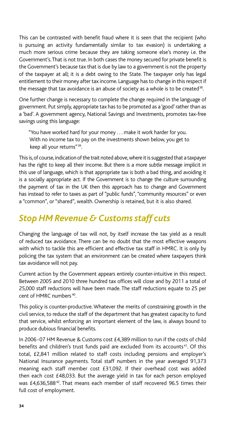This can be contrasted with benefit fraud where it is seen that the recipient (who is pursuing an activity fundamentally similar to tax evasion) is undertaking a much more serious crime because they are taking someone else's money i.e. the Government's. That is not true. In both cases the money secured for private benefit is the Government's because tax that is due by law to a government is not the property of the taxpayer at all; it is a debt owing to the State. The taxpayer only has legal entitlement to their money after tax income. Language has to change in this respect if the message that tax avoidance is an abuse of society as a whole is to be created<sup>38</sup>.

One further change is necessary to complete the change required in the language of government. Put simply, appropriate tax has to be promoted as a 'good' rather than as a 'bad'. A government agency, National Savings and Investments, promotes tax-free savings using this language:

"You have worked hard for your money . . . make it work harder for you. With no income tax to pay on the investments shown below, you get to keep all your returns"39.

This is, of course, indication of the trait noted above, where it is suggested that a taxpayer has the right to keep all their income. But there is a more subtle message implicit in this use of language, which is that appropriate tax is both a bad thing, and avoiding it is a socially appropriate act. If the Government is to change the culture surrounding the payment of tax in the UK then this approach has to change and Government has instead to refer to taxes as part of "public funds", "community resources" or even a "common", or "shared", wealth. Ownership is retained, but it is also shared.

## *Stop HM Revenue & Customs staff cuts*

Changing the language of tax will not, by itself increase the tax yield as a result of reduced tax avoidance. There can be no doubt that the most effective weapons with which to tackle this are efficient and effective tax staff in HMRC. It is only by policing the tax system that an environment can be created where taxpayers think tax avoidance will not pay.

Current action by the Government appears entirely counter-intuitive in this respect. Between 2005 and 2010 three hundred tax offices will close and by 2011 a total of 25,000 staff reductions will have been made. The staff reductions equate to 25 per cent of HMRC numbers 40.

This policy is counter-productive. Whatever the merits of constraining growth in the civil service, to reduce the staff of the department that has greatest capacity to fund that service, whilst enforcing an important element of the law, is always bound to produce dubious financial benefits.

In 2006-07 HM Revenue & Customs cost £4,389 million to run if the costs of child benefits and children's trust funds paid are excluded from its accounts 41. Of this total, £2,841 million related to staff costs including pensions and employer's National Insurance payments. Total staff numbers in the year averaged 91,373 meaning each staff member cost £31,092. If their overhead cost was added then each cost £48,033. But the average yield in tax for each person employed was £4,636,588<sup>42</sup>. That means each member of staff recovered 96.5 times their full cost of employment.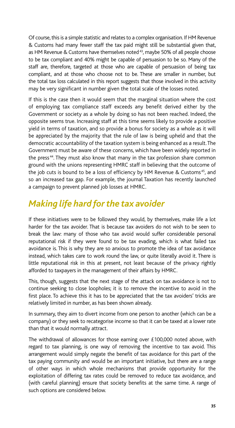Of course, this is a simple statistic and relates to a complex organisation. If HM Revenue & Customs had many fewer staff the tax paid might still be substantial given that, as HM Revenue & Customs have themselves noted<sup>43</sup>, maybe 50% of all people choose to be tax compliant and 40% might be capable of persuasion to be so. Many of the staff are, therefore, targeted at those who are capable of persuasion of being tax compliant, and at those who choose not to be. These are smaller in number, but the total tax loss calculated in this report suggests that those involved in this activity may be very significant in number given the total scale of the losses noted.

If this is the case then it would seem that the marginal situation where the cost of employing tax compliance staff exceeds any benefit derived either by the Government or society as a whole by doing so has not been reached. Indeed, the opposite seems true. Increasing staff at this time seems likely to provide a positive yield in terms of taxation, and so provide a bonus for society as a whole as it will be appreciated by the majority that the rule of law is being upheld and that the democratic accountability of the taxation system is being enhanced as a result. The Government must be aware of these concerns, which have been widely reported in the press 44. They must also know that many in the tax profession share common ground with the unions representing HMRC staff in believing that the outcome of the job cuts is bound to be a loss of efficiency by HM Revenue & Customs<sup>45</sup>, and so an increased tax gap. For example, the journal Taxation has recently launched a campaign to prevent planned job losses at HMRC.

## *Making life hard for the tax avoider*

If these initiatives were to be followed they would, by themselves, make life a lot harder for the tax avoider. That is because tax avoiders do not wish to be seen to break the law: many of those who tax avoid would suffer considerable personal reputational risk if they were found to be tax evading, which is what failed tax avoidance is. This is why they are so anxious to promote the idea of tax avoidance instead, which takes care to work round the law, or quite literally avoid it. There is little reputational risk in this at present, not least because of the privacy rightly afforded to taxpayers in the management of their affairs by HMRC.

This, though, suggests that the next stage of the attack on tax avoidance is not to continue seeking to close loopholes; it is to remove the incentive to avoid in the first place. To achieve this it has to be appreciated that the tax avoiders' tricks are relatively limited in number, as has been shown already.

In summary, they aim to divert income from one person to another (which can be a company) or they seek to recategorise income so that it can be taxed at a lower rate than that it would normally attract.

The withdrawal of allowances for those earning over £100,000 noted above, with regard to tax planning, is one way of removing the incentive to tax avoid. This arrangement would simply negate the benefit of tax avoidance for this part of the tax paying community and would be an important initiative, but there are a range of other ways in which whole mechanisms that provide opportunity for the exploitation of differing tax rates could be removed to reduce tax avoidance, and (with careful planning) ensure that society benefits at the same time. A range of such options are considered below.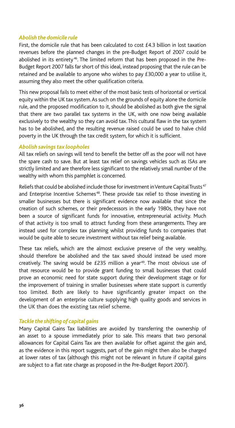#### *Abolish the domicile rule*

First, the domicile rule that has been calculated to cost £4.3 billion in lost taxation revenues before the planned changes in the pre-Budget Report of 2007 could be abolished in its entirety<sup>46</sup>. The limited reform that has been proposed in the Pre-Budget Report 2007 falls far short of this ideal, instead proposing that the rule can be retained and be available to anyone who wishes to pay £30,000 a year to utilise it, assuming they also meet the other qualification criteria.

This new proposal fails to meet either of the most basic tests of horizontal or vertical equity within the UK tax system. As such on the grounds of equity alone the domicile rule, and the proposed modification to it, should be abolished as both give the signal that there are two parallel tax systems in the UK, with one now being available exclusively to the wealthy so they can avoid tax. This cultural flaw in the tax system has to be abolished, and the resulting revenue raised could be used to halve child poverty in the UK through the tax credit system, for which it is sufficient.

#### *Abolish savings tax loopholes*

All tax reliefs on savings will tend to benefit the better off as the poor will not have the spare cash to save. But at least tax relief on savings vehicles such as ISAs are strictly limited and are therefore less significant to the relatively small number of the wealthy with whom this pamphlet is concerned.

Reliefs that could be abolished include those for investment in Venture Capital Trusts<sup>47</sup> and Enterprise Incentive Schemes<sup>48</sup>. These provide tax relief to those investing in smaller businesses but there is significant evidence now available that since the creation of such schemes, or their predecessors in the early 1980s, they have not been a source of significant funds for innovative, entrepreneurial activity. Much of that activity is too small to attract funding from these arrangements. They are instead used for complex tax planning whilst providing funds to companies that would be quite able to secure investment without tax relief being available.

These tax reliefs, which are the almost exclusive preserve of the very wealthy, should therefore be abolished and the tax saved should instead be used more creatively. The saving would be  $E$ 235 million a year<sup>49</sup>. The most obvious use of that resource would be to provide grant funding to small businesses that could prove an economic need for state support during their development stage or for the improvement of training in smaller businesses where state support is currently too limited. Both are likely to have significantly greater impact on the development of an enterprise culture supplying high quality goods and services in the UK than does the existing tax relief scheme.

#### *Tackle the shifting of capital gains*

Many Capital Gains Tax liabilities are avoided by transferring the ownership of an asset to a spouse immediately prior to sale. This means that two personal allowances for Capital Gains Tax are then available for offset against the gain and, as the evidence in this report suggests, part of the gain might then also be charged at lower rates of tax (although this might not be relevant in future if capital gains are subject to a flat rate charge as proposed in the Pre-Budget Report 2007).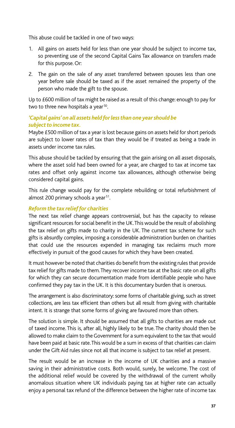This abuse could be tackled in one of two ways:

- 1. All gains on assets held for less than one year should be subject to income tax, so preventing use of the second Capital Gains Tax allowance on transfers made for this purpose. Or:
- 2. The gain on the sale of any asset transferred between spouses less than one year before sale should be taxed as if the asset remained the property of the person who made the gift to the spouse.

Up to £600 million of tax might be raised as a result of this change: enough to pay for two to three new hospitals a year<sup>50</sup>.

## *'Capital gains' on all assets held for less than one year should be subject to income tax.*

Maybe £500 million of tax a year is lost because gains on assets held for short periods are subject to lower rates of tax than they would be if treated as being a trade in assets under income tax rules.

This abuse should be tackled by ensuring that the gain arising on all asset disposals, where the asset sold had been owned for a year, are charged to tax at income tax rates and offset only against income tax allowances, although otherwise being considered capital gains.

This rule change would pay for the complete rebuilding or total refurbishment of almost 200 primary schools a year<sup>51</sup>.

## *Reform the tax relief for charities*

The next tax relief change appears controversial, but has the capacity to release significant resources for social benefit in the UK. This would be the result of abolishing the tax relief on gifts made to charity in the UK. The current tax scheme for such gifts is absurdly complex, imposing a considerable administration burden on charities that could use the resources expended in managing tax reclaims much more effectively in pursuit of the good causes for which they have been created.

It must however be noted that charities do benefit from the existing rules that provide tax relief for gifts made to them. They recover income tax at the basic rate on all gifts for which they can secure documentation made from identifiable people who have confirmed they pay tax in the UK. It is this documentary burden that is onerous.

The arrangement is also discriminatory: some forms of charitable giving, such as street collections, are less tax efficient than others but all result from giving with charitable intent. It is strange that some forms of giving are favoured more than others.

The solution is simple. It should be assumed that all gifts to charities are made out of taxed income. This is, after all, highly likely to be true. The charity should then be allowed to make claim to the Government for a sum equivalent to the tax that would have been paid at basic rate. This would be a sum in excess of that charities can claim under the Gift Aid rules since not all that income is subject to tax relief at present.

The result would be an increase in the income of UK charities and a massive saving in their administrative costs. Both would, surely, be welcome. The cost of the additional relief would be covered by the withdrawal of the current wholly anomalous situation where UK individuals paying tax at higher rate can actually enjoy a personal tax refund of the difference between the higher rate of income tax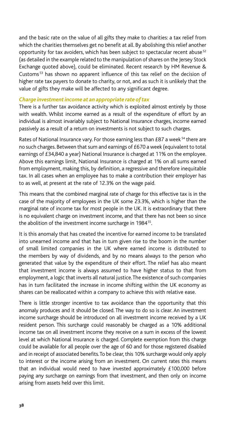and the basic rate on the value of all gifts they make to charities: a tax relief from which the charities themselves get no benefit at all. By abolishing this relief another opportunity for tax avoiders, which has been subject to spectacular recent abuse<sup>52</sup> (as detailed in the example related to the manipulation of shares on the Jersey Stock Exchange quoted above), could be eliminated. Recent research by HM Revenue & Customs<sup>53</sup> has shown no apparent influence of this tax relief on the decision of higher rate tax payers to donate to charity, or not, and as such it is unlikely that the value of gifts they make will be affected to any significant degree.

#### *Charge investment income at an appropriate rate of tax*

There is a further tax avoidance activity which is exploited almost entirely by those with wealth. Whilst income earned as a result of the expenditure of effort by an individual is almost invariably subject to National Insurance charges, income earned passively as a result of a return on investments is not subject to such charges.

Rates of National Insurance vary. For those earning less than £87 a week<sup>54</sup> there are no such charges. Between that sum and earnings of £670 a week (equivalent to total earnings of £34,840 a year) National Insurance is charged at 11% on the employee. Above this earnings limit, National Insurance is charged at 1% on all sums earned from employment, making this, by definition, a regressive and therefore inequitable tax. In all cases when an employee has to make a contribution their employer has to as well, at present at the rate of 12.3% on the wage paid.

This means that the combined marginal rate of charge for this effective tax is in the case of the majority of employees in the UK some 23.3%, which is higher than the marginal rate of income tax for most people in the UK. It is extraordinary that there is no equivalent charge on investment income, and that there has not been so since the abolition of the investment income surcharge in 1984<sup>55</sup>.

It is this anomaly that has created the incentive for earned income to be translated into unearned income and that has in turn given rise to the boom in the number of small limited companies in the UK where earned income is distributed to the members by way of dividends, and by no means always to the person who generated that value by the expenditure of their effort. The relief has also meant that investment income is always assumed to have higher status to that from employment, a logic that inverts all natural justice. The existence of such companies has in turn facilitated the increase in income shifting within the UK economy as shares can be reallocated within a company to achieve this with relative ease.

There is little stronger incentive to tax avoidance than the opportunity that this anomaly produces and it should be closed. The way to do so is clear. An investment income surcharge should be introduced on all investment income received by a UK resident person. This surcharge could reasonably be charged as a 10% additional income tax on all investment income they receive on a sum in excess of the lowest level at which National Insurance is charged. Complete exemption from this charge could be available for all people over the age of 60 and for those registered disabled and in receipt of associated benefits. To be clear, this 10% surcharge would only apply to interest or the income arising from an investment. On current rates this means that an individual would need to have invested approximately £100,000 before paying any surcharge on earnings from that investment, and then only on income arising from assets held over this limit.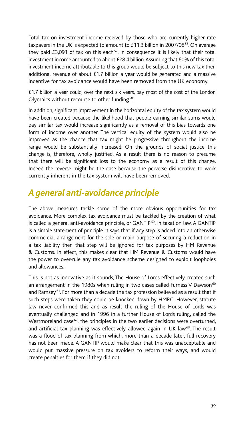Total tax on investment income received by those who are currently higher rate taxpayers in the UK is expected to amount to  $£11.3$  billion in 2007/08 $^{56}$ . On average they paid  $£3,091$  of tax on this each<sup>57</sup>. In consequence it is likely that their total investment income amounted to about £28.4 billion. Assuming that 60% of this total investment income attributable to this group would be subject to this new tax then additional revenue of about £1.7 billion a year would be generated and a massive incentive for tax avoidance would have been removed from the UK economy.

£1.7 billion a year could, over the next six years, pay most of the cost of the London Olympics without recourse to other funding 58.

In addition, significant improvement in the horizontal equity of the tax system would have been created because the likelihood that people earning similar sums would pay similar tax would increase significantly as a removal of this bias towards one form of income over another. The vertical equity of the system would also be improved as the chance that tax might be progressive throughout the income range would be substantially increased. On the grounds of social justice this change is, therefore, wholly justified. As a result there is no reason to presume that there will be significant loss to the economy as a result of this change. Indeed the reverse might be the case because the perverse disincentive to work currently inherent in the tax system will have been removed.

## *A general anti-avoidance principle*

The above measures tackle some of the more obvious opportunities for tax avoidance. More complex tax avoidance must be tackled by the creation of what is called a general anti-avoidance principle, or GANTIP<sup>59</sup>, in taxation law. A GANTIP is a simple statement of principle: it says that if any step is added into an otherwise commercial arrangement for the sole or main purpose of securing a reduction in a tax liability then that step will be ignored for tax purposes by HM Revenue & Customs. In effect, this makes clear that HM Revenue & Customs would have the power to over-rule any tax avoidance scheme designed to exploit loopholes and allowances.

This is not as innovative as it sounds, The House of Lords effectively created such an arrangement in the 1980s when ruling in two cases called Furness V Dawson<sup>60</sup> and Ramsey<sup>61</sup>. For more than a decade the tax profession believed as a result that if such steps were taken they could be knocked down by HMRC. However, statute law never confirmed this and as result the ruling of the House of Lords was eventually challenged and in 1996 in a further House of Lords ruling, called the Westmoreland case $^{62}$ , the principles in the two earlier decisions were overturned, and artificial tax planning was effectively allowed again in UK law<sup>63</sup>. The result was a flood of tax planning from which, more than a decade later, full recovery has not been made. A GANTIP would make clear that this was unacceptable and would put massive pressure on tax avoiders to reform their ways, and would create penalties for them if they did not.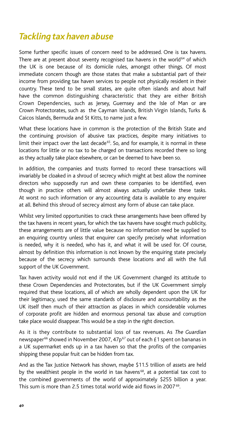## *Tackling tax haven abuse*

Some further specific issues of concern need to be addressed. One is tax havens. There are at present about seventy recognised tax havens in the world $64$  of which the UK is one because of its domicile rules, amongst other things. Of most immediate concern though are those states that make a substantial part of their income from providing tax haven services to people not physically resident in their country. These tend to be small states, are quite often islands and about half have the common distinguishing characteristic that they are either British Crown Dependencies, such as Jersey, Guernsey and the Isle of Man or are Crown Protectorates, such as the Cayman Islands, British Virgin Islands, Turks & Caicos Islands, Bermuda and St Kitts, to name just a few.

What these locations have in common is the protection of the British State and the continuing provision of abusive tax practices, despite many initiatives to limit their impact over the last decade<sup>65</sup>. So, and for example, it is normal in these locations for little or no tax to be charged on transactions recorded there so long as they actually take place elsewhere, or can be deemed to have been so.

In addition, the companies and trusts formed to record these transactions will invariably be cloaked in a shroud of secrecy which might at best allow the nominee directors who supposedly run and own these companies to be identified, even though in practice others will almost always actually undertake these tasks. At worst no such information or any accounting data is available to any enquirer at all. Behind this shroud of secrecy almost any form of abuse can take place.

Whilst very limited opportunities to crack these arrangements have been offered by the tax havens in recent years, for which the tax havens have sought much publicity, these arrangements are of little value because no information need be supplied to an enquiring country unless that enquirer can specify precisely what information is needed, why it is needed, who has it, and what it will be used for. Of course, almost by definition this information is not known by the enquiring state precisely because of the secrecy which surrounds these locations and all with the full support of the UK Government.

Tax haven activity would not end if the UK Government changed its attitude to these Crown Dependencies and Protectorates, but if the UK Government simply required that these locations, all of which are wholly dependent upon the UK for their legitimacy, used the same standards of disclosure and accountability as the UK itself then much of their attraction as places in which considerable volumes of corporate profit are hidden and enormous personal tax abuse and corruption take place would disappear. This would be a step in the right direction.

As it is they contribute to substantial loss of tax revenues. As *The Guardian* newspaper<sup>66</sup> showed in November 2007, 47p<sup>67</sup> out of each £1 spent on bananas in a UK supermarket ends up in a tax haven so that the profits of the companies shipping these popular fruit can be hidden from tax.

And as the Tax Justice Network has shown, maybe \$11.5 trillion of assets are held by the wealthiest people in the world in tax havens<sup>68</sup>, at a potential tax cost to the combined governments of the world of approximately \$255 billion a year. This sum is more than 2.5 times total world wide aid flows in 2007 69.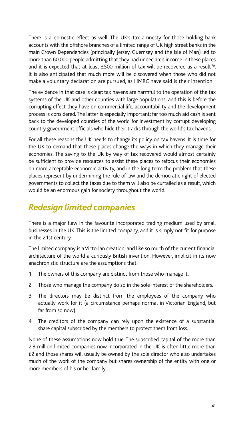There is a domestic effect as well. The UK's tax amnesty for those holding bank accounts with the offshore branches of a limited range of UK high street banks in the main Crown Dependencies (principally Jersey, Guernsey and the Isle of Man) led to more than 60,000 people admitting that they had undeclared income in these places and it is expected that at least £500 million of tax will be recovered as a result<sup>70</sup>. It is also anticipated that much more will be discovered when those who did not make a voluntary declaration are pursued, as HMRC have said is their intention.

The evidence in that case is clear: tax havens are harmful to the operation of the tax systems of the UK and other counties with large populations, and this is before the corrupting effect they have on commercial life, accountability and the development process is considered. The latter is especially important; far too much aid cash is sent back to the developed counties of the world for investment by corrupt developing country government officials who hide their tracks through the world's tax havens.

For all these reasons the UK needs to change its policy on tax havens. It is time for the UK to demand that these places change the ways in which they manage their economies. The saving to the UK by way of tax recovered would almost certainly be sufficient to provide resources to assist these places to refocus their economies on more acceptable economic activity, and in the long term the problem that these places represent by undermining the rule of law and the democratic right of elected governments to collect the taxes due to them will also be curtailed as a result, which would be an enormous gain for society throughout the world.

## *Redesign limited companies*

There is a major flaw in the favourite incorporated trading medium used by small businesses in the UK. This is the limited company, and it is simply not fit for purpose in the 21st century.

The limited company is a Victorian creation, and like so much of the current financial architecture of the world a curiously British invention. However, implicit in its now anachronistic structure are the assumptions that:

- 1. The owners of this company are distinct from those who manage it.
- 2. Those who manage the company do so in the sole interest of the shareholders.
- 3. The directors may be distinct from the employees of the company who actually work for it (a circumstance perhaps normal in Victorian England, but far from so now).
- 4. The creditors of the company can rely upon the existence of a substantial share capital subscribed by the members to protect them from loss.

None of these assumptions now hold true. The subscribed capital of the more than 2.3 million limited companies now incorporated in the UK is often little more than £2 and those shares will usually be owned by the sole director who also undertakes much of the work of the company but shares ownership of the entity with one or more members of his or her family.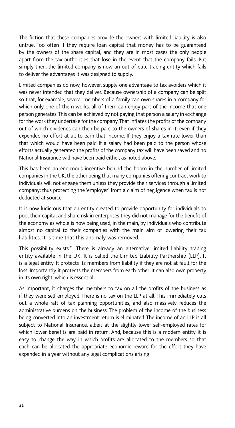The fiction that these companies provide the owners with limited liability is also untrue. Too often if they require loan capital that money has to be guaranteed by the owners of the share capital, and they are in most cases the only people apart from the tax authorities that lose in the event that the company fails. Put simply then, the limited company is now an out of date trading entity which fails to deliver the advantages it was designed to supply.

Limited companies do now, however, supply one advantage to tax avoiders which it was never intended that they deliver. Because ownership of a company can be split so that, for example, several members of a family can own shares in a company for which only one of them works, all of them can enjoy part of the income that one person generates. This can be achieved by not paying that person a salary in exchange for the work they undertake for the company. That inflates the profits of the company out of which dividends can then be paid to the owners of shares in it, even if they expended no effort at all to earn that income. If they enjoy a tax rate lower than that which would have been paid if a salary had been paid to the person whose efforts actually generated the profits of the company tax will have been saved and no National Insurance will have been paid either, as noted above.

This has been an enormous incentive behind the boom in the number of limited companies in the UK, the other being that many companies offering contract work to individuals will not engage them unless they provide their services through a limited company; thus protecting the 'employer' from a claim of negligence when tax is not deducted at source.

It is now ludicrous that an entity created to provide opportunity for individuals to pool their capital and share risk in enterprises they did not manage for the benefit of the economy as whole is now being used, in the main, by individuals who contribute almost no capital to their companies with the main aim of lowering their tax liabilities. It is time that this anomaly was removed.

This possibility exists<sup>71</sup>. There is already an alternative limited liability trading entity available in the UK. It is called the Limited Liability Partnership (LLP). It is a legal entity. It protects its members from liability if they are not at fault for the loss. Importantly it protects the members from each other. It can also own property in its own right, which is essential.

As important, it charges the members to tax on all the profits of the business as if they were self employed. There is no tax on the LLP at all. This immediately cuts out a whole raft of tax planning opportunities, and also massively reduces the administrative burdens on the business. The problem of the income of the business being converted into an investment return is eliminated. The income of an LLP is all subject to National Insurance, albeit at the slightly lower self-employed rates for which lower benefits are paid in return. And, because this is a modern entity it is easy to change the way in which profits are allocated to the members so that each can be allocated the appropriate economic reward for the effort they have expended in a year without any legal complications arising.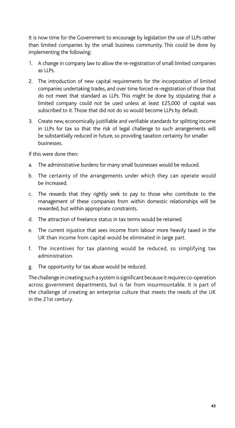It is now time for the Government to encourage by legislation the use of LLPs rather than limited companies by the small business community. This could be done by implementing the following:

- 1. A change in company law to allow the re-registration of small limited companies as LLPs.
- 2. The introduction of new capital requirements for the incorporation of limited companies undertaking trades, and over time forced re-registration of those that do not meet that standard as LLPs. This might be done by stipulating that a limited company could not be used unless at least £25,000 of capital was subscribed to it. Those that did not do so would become LLPs by default.
- 3. Create new, economically justifiable and verifiable standards for splitting income in LLPs for tax so that the risk of legal challenge to such arrangements will be substantially reduced in future, so providing taxation certainty for smaller businesses.

If this were done then:

- a. The administrative burdens for many small businesses would be reduced.
- b. The certainty of the arrangements under which they can operate would be increased.
- c. The rewards that they rightly seek to pay to those who contribute to the management of these companies from within domestic relationships will be rewarded, but within appropriate constraints.
- d. The attraction of freelance status in tax terms would be retained.
- e. The current injustice that sees income from labour more heavily taxed in the UK than income from capital would be eliminated in large part.
- f. The incentives for tax planning would be reduced, so simplifying tax administration.
- g. The opportunity for tax abuse would be reduced.

The challenge in creating such a system is significant because it requires co-operation across government departments, but is far from insurmountable. It is part of the challenge of creating an enterprise culture that meets the needs of the UK in the 21st century.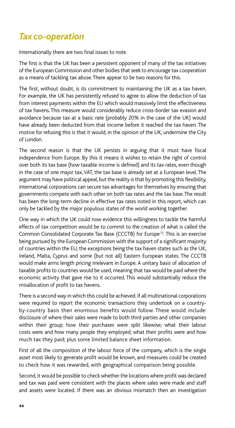## *Tax co-operation*

Internationally there are two final issues to note.

The first is that the UK has been a persistent opponent of many of the tax initiatives of the European Commission and other bodies that seek to encourage tax cooperation as a means of tackling tax abuse. There appear to be two reasons for this.

The first, without doubt, is its commitment to maintaining the UK as a tax haven. For example, the UK has persistently refused to agree to allow the deduction of tax from interest payments within the EU which would massively limit the effectiveness of tax havens. This measure would considerably reduce cross-border tax evasion and avoidance because tax at a basic rate (probably 20% in the case of the UK) would have already been deducted from that income before it reached the tax haven. The motive for refusing this is that it would, in the opinion of the UK, undermine the City of London.

The second reason is that the UK persists in arguing that it must have fiscal independence from Europe. By this it means it wishes to retain the right of control over both its tax base (how taxable income is defined) and its tax rates, even though in the case of one major tax, VAT, the tax base is already set at a European level. The argument may have political appeal, but the reality is that by promoting this flexibility, international corporations can secure tax advantages for themselves by ensuring that governments compete with each other on both tax rates and the tax base. The result has been the long-term decline in effective tax rates noted in this report, which can only be tackled by the major populous states of the world working together.

One way in which the UK could now evidence this willingness to tackle the harmful effects of tax competition would be to commit to the creation of what is called the Common Consolidated Corporate Tax Base (CCCTB) for Europe<sup>72</sup>. This is an exercise being pursued by the European Commission with the support of a significant majority of countries within the EU, the exceptions being the tax haven states such as the UK, Ireland, Malta, Cyprus and some (but not all) Eastern European states. The CCCTB would make arms length pricing irrelevant in Europe. A unitary basis of allocation of taxable profits to countries would be used, meaning that tax would be paid where the economic activity that gave rise to it occurred. This would substantially reduce the misallocation of profit to tax havens.

There is a second way in which this could be achieved. If all multinational corporations were required to report the economic transactions they undertook on a countryby-country basis then enormous benefits would follow. These would include: disclosure of where their sales were made to both third parties and other companies within their group; how their purchases were split likewise; what their labour costs were and how many people they employed; what their profits were and how much tax they paid; plus some limited balance sheet information.

First of all the composition of the labour force of the company, which is the single asset most likely to generate profit would be known, and measures could be created to check how it was rewarded, with geographical comparison being possible.

Second, it would be possible to check whether the locations where profit was declared and tax was paid were consistent with the places where sales were made and staff and assets were located. If there was an obvious mismatch then an investigation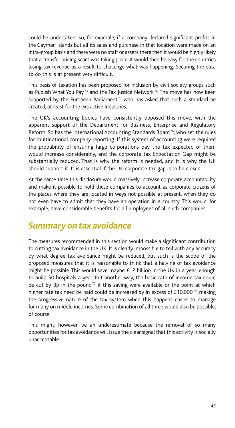could be undertaken. So, for example, if a company declared significant profits in the Cayman Islands but all its sales and purchase in that location were made on an intra-group basis and there were no staff or assets there then it would be highly likely that a transfer pricing scam was taking place. It would then be easy for the countries losing tax revenue as a result to challenge what was happening. Securing the data to do this is at present very difficult.

This basis of taxation has been proposed for inclusion by civil society groups such as Publish What You Pay<sup>73</sup> and the Tax Justice Network<sup>74</sup>. The move has now been supported by the European Parliament<sup>75</sup> who has asked that such a standard be created, at least for the extractive industries.

The UK's accounting bodies have consistently opposed this move, with the apparent support of the Department for Business, Enterprise and Regulatory Reform. So has the International Accounting Standards Board<sup>76</sup>, who set the rules for multinational company reporting. If this system of accounting were required the probability of ensuring large corporations pay the tax expected of them would increase considerably, and the corporate tax Expectation Gap might be substantially reduced. That is why the reform is needed, and it is why the UK should support it. It is essential if the UK corporate tax gap is to be closed.

At the same time this disclosure would massively increase corporate accountability and make it possible to hold these companies to account as corporate citizens of the places where they are located in ways not possible at present, when they do not even have to admit that they have an operation in a country. This would, for example, have considerable benefits for all employees of all such companies.

## *Summary on tax avoidance*

The measures recommended in this section would make a significant contribution to cutting tax avoidance in the UK. It is clearly impossible to tell with any accuracy by what degree tax avoidance might be reduced, but such is the scope of the proposed measures that it is reasonable to think that a halving of tax avoidance might be possible. This would save maybe £12 billion in the UK in a year: enough to build 50 hospitals a year. Put another way, the basic rate of income tax could be cut by 3p in the pound<sup>77</sup> if this saving were available or the point at which higher rate tax need be paid could be increased by in excess of  $£10,000^{78}$ , making the progressive nature of the tax system when this happens easier to manage for many on middle incomes. Some combination of all three would also be possible, of course.

This might, however, be an underestimate because the removal of so many opportunities for tax avoidance will issue the clear signal that this activity is socially unacceptable.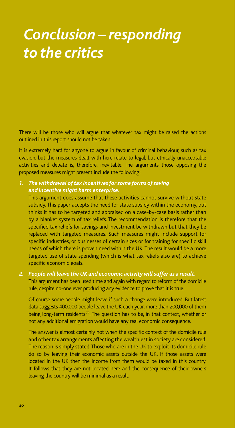# *Conclusion – responding to the critics*

There will be those who will argue that whatever tax might be raised the actions outlined in this report should not be taken.

It is extremely hard for anyone to argue in favour of criminal behaviour, such as tax evasion, but the measures dealt with here relate to legal, but ethically unacceptable activities and debate is, therefore, inevitable. The arguments those opposing the proposed measures might present include the following:

## *1. The withdrawal of tax incentives for some forms of saving and incentive might harm enterprise.*

This argument does assume that these activities cannot survive without state subsidy. This paper accepts the need for state subsidy within the economy, but thinks it has to be targeted and appraised on a case-by-case basis rather than by a blanket system of tax reliefs. The recommendation is therefore that the specified tax reliefs for savings and investment be withdrawn but that they be replaced with targeted measures. Such measures might include support for specific industries, or businesses of certain sizes or for training for specific skill needs of which there is proven need within the UK. The result would be a more targeted use of state spending (which is what tax reliefs also are) to achieve specific economic goals.

#### *2. People will leave the UK and economic activity will suffer as a result.*

This argument has been used time and again with regard to reform of the domicile rule, despite no-one ever producing any evidence to prove that it is true.

Of course some people might leave if such a change were introduced. But latest data suggests 400,000 people leave the UK each year, more than 200,000 of them being long-term residents<sup>79</sup>. The question has to be, in that context, whether or not any additional emigration would have any real economic consequence.

The answer is almost certainly not when the specific context of the domicile rule and other tax arrangements affecting the wealthiest in society are considered. The reason is simply stated. Those who are in the UK to exploit its domicile rule do so by leaving their economic assets outside the UK. If those assets were located in the UK then the income from them would be taxed in this country. It follows that they are not located here and the consequence of their owners leaving the country will be minimal as a result.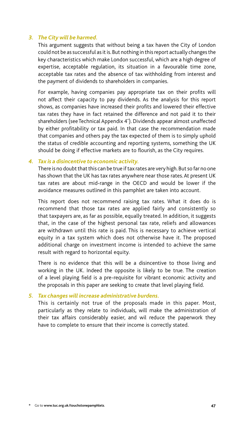#### *3. The City will be harmed.*

This argument suggests that without being a tax haven the City of London could not be as successful as it is. But nothing in this report actually changes the key characteristics which make London successful, which are a high degree of expertise, acceptable regulation, its situation in a favourable time zone, acceptable tax rates and the absence of tax withholding from interest and the payment of dividends to shareholders in companies.

For example, having companies pay appropriate tax on their profits will not affect their capacity to pay dividends. As the analysis for this report shows, as companies have increased their profits and lowered their effective tax rates they have in fact retained the difference and not paid it to their shareholders (see Technical Appendix 4\* ). Dividends appear almost unaffected by either profitability or tax paid. In that case the recommendation made that companies and others pay the tax expected of them is to simply uphold the status of credible accounting and reporting systems, something the UK should be doing if effective markets are to flourish, as the City requires.

#### *4. Tax is a disincentive to economic activity.*

There is no doubt that this can be true if tax rates are very high. But so far no one has shown that the UK has tax rates anywhere near those rates. At present UK tax rates are about mid-range in the OECD and would be lower if the avoidance measures outlined in this pamphlet are taken into account.

This report does not recommend raising tax rates. What it does do is recommend that those tax rates are applied fairly and consistently so that taxpayers are, as far as possible, equally treated. In addition, it suggests that, in the case of the highest personal tax rate, reliefs and allowances are withdrawn until this rate is paid. This is necessary to achieve vertical equity in a tax system which does not otherwise have it. The proposed additional charge on investment income is intended to achieve the same result with regard to horizontal equity.

There is no evidence that this will be a disincentive to those living and working in the UK. Indeed the opposite is likely to be true. The creation of a level playing field is a pre-requisite for vibrant economic activity and the proposals in this paper are seeking to create that level playing field.

#### *5. Tax changes will increase administrative burdens.*

This is certainly not true of the proposals made in this paper. Most, particularly as they relate to individuals, will make the administration of their tax affairs considerably easier, and wil reduce the paperwork they have to complete to ensure that their income is correctly stated.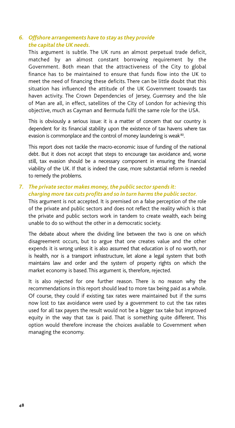#### *6. Offshore arrangements have to stay as they provide the capital the UK needs.*

This argument is subtle. The UK runs an almost perpetual trade deficit, matched by an almost constant borrowing requirement by the Government. Both mean that the attractiveness of the City to global finance has to be maintained to ensure that funds flow into the UK to meet the need of financing these deficits. There can be little doubt that this situation has influenced the attitude of the UK Government towards tax haven activity. The Crown Dependencies of Jersey, Guernsey and the Isle of Man are all, in effect, satellites of the City of London for achieving this objective, much as Cayman and Bermuda fulfil the same role for the USA.

This is obviously a serious issue: it is a matter of concern that our country is dependent for its financial stability upon the existence of tax havens where tax evasion is commonplace and the control of money laundering is weak<sup>80</sup>.

This report does not tackle the macro-economic issue of funding of the national debt. But it does not accept that steps to encourage tax avoidance and, worse still, tax evasion should be a necessary component in ensuring the financial viability of the UK. If that is indeed the case, more substantial reform is needed to remedy the problems.

## *7. The private sector makes money, the public sector spends it: charging more tax cuts profits and so in turn harms the public sector.*

This argument is not accepted. It is premised on a false perception of the role of the private and public sectors and does not reflect the reality which is that the private and public sectors work in tandem to create wealth, each being unable to do so without the other in a democratic society.

The debate about where the dividing line between the two is one on which disagreement occurs, but to argue that one creates value and the other expends it is wrong unless it is also assumed that education is of no worth, nor is health, nor is a transport infrastructure, let alone a legal system that both maintains law and order and the system of property rights on which the market economy is based. This argument is, therefore, rejected.

It is also rejected for one further reason. There is no reason why the recommendations in this report should lead to more tax being paid as a whole. Of course, they could if existing tax rates were maintained but if the sums now lost to tax avoidance were used by a government to cut the tax rates used for all tax payers the result would not be a bigger tax take but improved equity in the way that tax is paid. That is something quite different. This option would therefore increase the choices available to Government when managing the economy.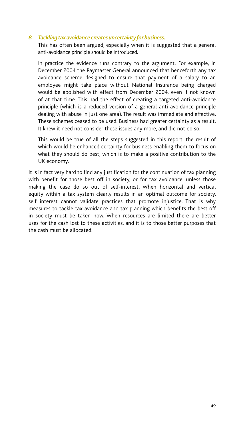#### *8. Tackling tax avoidance creates uncertainty for business.*

This has often been argued, especially when it is suggested that a general anti-avoidance principle should be introduced.

In practice the evidence runs contrary to the argument. For example, in December 2004 the Paymaster General announced that henceforth any tax avoidance scheme designed to ensure that payment of a salary to an employee might take place without National Insurance being charged would be abolished with effect from December 2004, even if not known of at that time. This had the effect of creating a targeted anti-avoidance principle (which is a reduced version of a general anti-avoidance principle dealing with abuse in just one area). The result was immediate and effective. These schemes ceased to be used. Business had greater certainty as a result. It knew it need not consider these issues any more, and did not do so.

This would be true of all the steps suggested in this report, the result of which would be enhanced certainty for business enabling them to focus on what they should do best, which is to make a positive contribution to the UK economy.

It is in fact very hard to find any justification for the continuation of tax planning with benefit for those best off in society, or for tax avoidance, unless those making the case do so out of self-interest. When horizontal and vertical equity within a tax system clearly results in an optimal outcome for society, self interest cannot validate practices that promote injustice. That is why measures to tackle tax avoidance and tax planning which benefits the best off in society must be taken now. When resources are limited there are better uses for the cash lost to these activities, and it is to those better purposes that the cash must be allocated.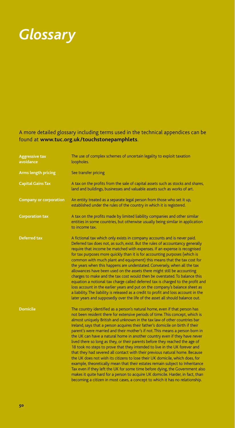

## A more detailed glossary including terms used in the technical appendices can be found at **www.tuc.org.uk /touchstonepamphlets**.

| <b>Aggressive tax</b><br>avoidance | The use of complex schemes of uncertain legality to exploit taxation<br>loopholes.                                                                                                                                                                                                                                                                                                                                                                                                                                                                                                                                                                                                                                                                                                                                                                                                                                                                                                                                                                                                                                                                     |
|------------------------------------|--------------------------------------------------------------------------------------------------------------------------------------------------------------------------------------------------------------------------------------------------------------------------------------------------------------------------------------------------------------------------------------------------------------------------------------------------------------------------------------------------------------------------------------------------------------------------------------------------------------------------------------------------------------------------------------------------------------------------------------------------------------------------------------------------------------------------------------------------------------------------------------------------------------------------------------------------------------------------------------------------------------------------------------------------------------------------------------------------------------------------------------------------------|
| Arms length pricing                | See transfer pricing                                                                                                                                                                                                                                                                                                                                                                                                                                                                                                                                                                                                                                                                                                                                                                                                                                                                                                                                                                                                                                                                                                                                   |
| <b>Capital Gains Tax</b>           | A tax on the profits from the sale of capital assets such as stocks and shares,<br>land and buildings, businesses and valuable assets such as works of art.                                                                                                                                                                                                                                                                                                                                                                                                                                                                                                                                                                                                                                                                                                                                                                                                                                                                                                                                                                                            |
| <b>Company or corporation</b>      | An entity treated as a separate legal person from those who set it up,<br>established under the rules of the country in which it is registered.                                                                                                                                                                                                                                                                                                                                                                                                                                                                                                                                                                                                                                                                                                                                                                                                                                                                                                                                                                                                        |
| <b>Corporation tax</b>             | A tax on the profits made by limited liability companies and other similar<br>entities in some countries, but otherwise usually being similar in application<br>to income tax.                                                                                                                                                                                                                                                                                                                                                                                                                                                                                                                                                                                                                                                                                                                                                                                                                                                                                                                                                                         |
| Deferred tax                       | A fictional tax which only exists in company accounts and is never paid.<br>Deferred tax does not, as such, exist. But the rules of accountancy generally<br>require that income be matched with expenses. If an expense is recognised<br>for tax purposes more quickly than it is for accounting purposes (which is<br>common with much plant and equipment) this means that the tax cost for<br>the years when this happens are understated. Conversely, when all the tax<br>allowances have been used on the assets there might still be accounting<br>charges to make and the tax cost would then be overstated. To balance this<br>equation a notional tax charge called deferred tax is charged to the profit and<br>loss account in the earlier years and put on the company's balance sheet as<br>a liability. The liability is released as a credit to profit and loss account in the<br>later years and supposedly over the life of the asset all should balance out.                                                                                                                                                                        |
| <b>Domicile</b>                    | The country identified as a person's natural home, even if that person has<br>not been resident there for extensive periods of time. This concept, which is<br>almost uniquely British and unknown in the tax law of other countries bar<br>Ireland, says that a person acquires their father's domicile on birth if their<br>parent's were married and their mother's if not. This means a person born in<br>the UK can have a natural home in another country even if they have never<br>lived there so long as they, or their parents before they reached the age of<br>18 took no steps to prove that they intended to live in the UK forever and<br>that they had severed all contact with their previous natural home. Because<br>the UK does not wish its citizens to lose their UK domicile, which does, for<br>example, theoretically mean that their estates remain subject to Inheritance<br>Tax even if they left the UK for some time before dying, the Government also<br>makes it quite hard for a person to acquire UK domicile. Harder, in fact, than<br>becoming a citizen in most cases, a concept to which it has no relationship. |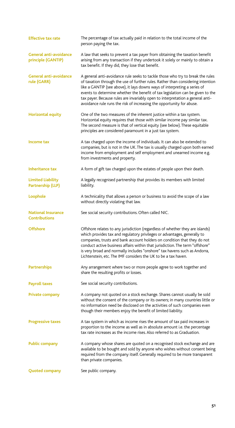| <b>Effective tax rate</b>                         | The percentage of tax actually paid in relation to the total income of the<br>person paying the tax.                                                                                                                                                                                                                                                                                                                                                                                        |
|---------------------------------------------------|---------------------------------------------------------------------------------------------------------------------------------------------------------------------------------------------------------------------------------------------------------------------------------------------------------------------------------------------------------------------------------------------------------------------------------------------------------------------------------------------|
| General anti-avoidance<br>principle (GANTIP)      | A law that seeks to prevent a tax payer from obtaining the taxation benefit<br>arising from any transaction if they undertook it solely or mainly to obtain a<br>tax benefit. If they did, they lose that benefit.                                                                                                                                                                                                                                                                          |
| <b>General anti-avoidance</b><br>rule (GARR)      | A general anti-avoidance rule seeks to tackle those who try to break the rules<br>of taxation through the use of further rules. Rather than considering intention<br>like a GANTIP (see above), it lays downs ways of interpreting a series of<br>events to determine whether the benefit of tax legislation can be given to the<br>tax payer. Because rules are invariably open to interpretation a general anti-<br>avoidance rule runs the risk of increasing the opportunity for abuse. |
| <b>Horizontal equity</b>                          | One of the two measures of the inherent justice within a tax system.<br>Horizontal equity requires that those with similar income pay similar tax.<br>The second measure is that of vertical equity (see below). These equitable<br>principles are considered paramount in a just tax system.                                                                                                                                                                                               |
| Income tax                                        | A tax charged upon the income of individuals. It can also be extended to<br>companies, but is not in the UK. The tax is usually charged upon both earned<br>income from employment and self employment and unearned income e.g.<br>from investments and property.                                                                                                                                                                                                                           |
| <b>Inheritance tax</b>                            | A form of gift tax charged upon the estates of people upon their death.                                                                                                                                                                                                                                                                                                                                                                                                                     |
| Limited Liability<br>Partnership (LLP)            | A legally recognised partnership that provides its members with limited<br>liability.                                                                                                                                                                                                                                                                                                                                                                                                       |
| Loophole                                          | A technicality that allows a person or business to avoid the scope of a law<br>without directly violating that law.                                                                                                                                                                                                                                                                                                                                                                         |
| <b>National Insurance</b><br><b>Contributions</b> | See social security contributions. Often called NIC.                                                                                                                                                                                                                                                                                                                                                                                                                                        |
| <b>Offshore</b>                                   | Offshore relates to any jurisdiction (regardless of whether they are islands)<br>which provides tax and regulatory privileges or advantages, generally to<br>companies, trusts and bank account holders on condition that they do not<br>conduct active business affairs within that jurisdiction. The term "offshore"<br>is very broad and normally includes "onshore" tax havens such as Andorra,<br>Lichtenstein, etc. The IMF considers the UK to be a tax haven.                       |
| <b>Partnerships</b>                               | Any arrangement where two or more people agree to work together and<br>share the resulting profits or losses.                                                                                                                                                                                                                                                                                                                                                                               |
| <b>Payroll taxes</b>                              | See social security contributions.                                                                                                                                                                                                                                                                                                                                                                                                                                                          |
| Private company                                   | A company not quoted on a stock exchange. Shares cannot usually be sold<br>without the consent of the company or its owners; in many countries little or<br>no information need be disclosed on the activities of such companies even<br>though their members enjoy the benefit of limited liability.                                                                                                                                                                                       |
| <b>Progressive taxes</b>                          | A tax system in which as income rises the amount of tax paid increases in<br>proportion to the income as well as in absolute amount i.e. the percentage<br>tax rate increases as the income rises. Also referred to as Graduation.                                                                                                                                                                                                                                                          |
| <b>Public company</b>                             | A company whose shares are quoted on a recognised stock exchange and are<br>available to be bought and sold by anyone who wishes without consent being<br>required from the company itself. Generally required to be more transparent<br>than private companies.                                                                                                                                                                                                                            |
| <b>Quoted company</b>                             | See public company.                                                                                                                                                                                                                                                                                                                                                                                                                                                                         |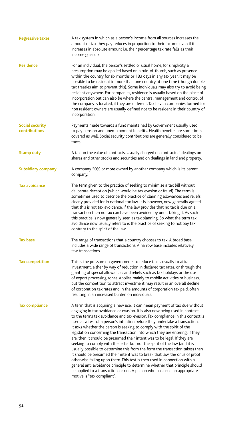| <b>Regressive taxes</b>          | A tax system in which as a person's income from all sources increases the<br>amount of tax they pay reduces in proportion to their income even if it<br>increases in absolute amount i.e. their percentage tax rate falls as their<br>income goes up.                                                                                                                                                                                                                                                                                                                                                                                                                                                                                                                                                                                                                                                                                                                                                                                                                               |
|----------------------------------|-------------------------------------------------------------------------------------------------------------------------------------------------------------------------------------------------------------------------------------------------------------------------------------------------------------------------------------------------------------------------------------------------------------------------------------------------------------------------------------------------------------------------------------------------------------------------------------------------------------------------------------------------------------------------------------------------------------------------------------------------------------------------------------------------------------------------------------------------------------------------------------------------------------------------------------------------------------------------------------------------------------------------------------------------------------------------------------|
| <b>Residence</b>                 | For an individual, the person's settled or usual home; for simplicity a<br>presumption may be applied based on a rule-of-thumb, such as presence<br>within the country for six months or 183 days in any tax year. It may be<br>possible to be resident in more than one country at one time (though double<br>tax treaties aim to prevent this). Some individuals may also try to avoid being<br>resident anywhere. For companies, residence is usually based on the place of<br>incorporation but can also be where the central management and control of<br>the company is located, if they are different. Tax haven companies formed for<br>non resident owners are usually defined not to be resident in their country of<br>incorporation.                                                                                                                                                                                                                                                                                                                                    |
| Social security<br>contributions | Payments made towards a fund maintained by Government usually used<br>to pay pension and unemployment benefits. Health benefits are sometimes<br>covered as well. Social security contributions are generally considered to be<br>taxes.                                                                                                                                                                                                                                                                                                                                                                                                                                                                                                                                                                                                                                                                                                                                                                                                                                            |
| <b>Stamp duty</b>                | A tax on the value of contracts. Usually charged on contractual dealings on<br>shares and other stocks and securities and on dealings in land and property.                                                                                                                                                                                                                                                                                                                                                                                                                                                                                                                                                                                                                                                                                                                                                                                                                                                                                                                         |
| Subsidiary company               | A company 50% or more owned by another company which is its parent<br>company.                                                                                                                                                                                                                                                                                                                                                                                                                                                                                                                                                                                                                                                                                                                                                                                                                                                                                                                                                                                                      |
| <b>Tax avoidance</b>             | The term given to the practice of seeking to minimise a tax bill without<br>deliberate deception (which would be tax evasion or fraud). The term is<br>sometimes used to describe the practice of claiming allowances and reliefs<br>clearly provided for in national tax law. It is, however, now generally agreed<br>that this is not tax avoidance. If the law provides that no tax is due on a<br>transaction then no tax can have been avoided by undertaking it. As such<br>this practice is now generally seen as tax planning. So what the term tax<br>avoidance now usually refers to is the practice of seeking to not pay tax<br>contrary to the spirit of the law.                                                                                                                                                                                                                                                                                                                                                                                                      |
| <b>Tax base</b>                  | The range of transactions that a country chooses to tax. A broad base<br>includes a wide range of transactions. A narrow base includes relatively<br>few transactions.                                                                                                                                                                                                                                                                                                                                                                                                                                                                                                                                                                                                                                                                                                                                                                                                                                                                                                              |
| <b>Tax competition</b>           | This is the pressure on governments to reduce taxes usually to attract<br>investment, either by way of reduction in declared tax rates, or through the<br>granting of special allowances and reliefs such as tax holidays or the use<br>of export processing zones. Applies mainly to mobile activities or business,<br>but the competition to attract investment may result in an overall decline<br>of corporation tax rates and in the amounts of corporation tax paid, often<br>resulting in an increased burden on individuals.                                                                                                                                                                                                                                                                                                                                                                                                                                                                                                                                                |
| <b>Tax compliance</b>            | A term that is acquiring a new use. It can mean payment of tax due without<br>engaging in tax avoidance or evasion. It is also now being used in contrast<br>to the terms tax avoidance and tax evasion. Tax compliance in this context is<br>used as a test of a person's intention before they undertake a transaction.<br>It asks whether the person is seeking to comply with the spirit of the<br>legislation concerning the transaction into which they are entering. If they<br>are, then it should be presumed their intent was to be legal. If they are<br>seeking to comply with the letter but not the spirit of the law (and it is<br>usually possible to determine this from the form the transaction takes) then<br>it should be presumed their intent was to break that law, the onus of proof<br>otherwise falling upon them. This test is then used in connection with a<br>general anti avoidance principle to determine whether that principle should<br>be applied to a transaction, or not. A person who has used an appropriate<br>motive is "tax compliant". |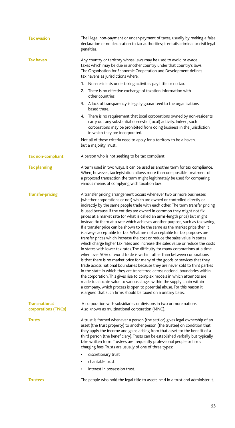| <b>Tax evasion</b>                          | The illegal non-payment or under-payment of taxes, usually by making a false<br>declaration or no declaration to tax authorities; it entails criminal or civil legal<br>penalties.                                                                                                                                                                                                                                                                                                                                                                                                                                                                                                                                                                                                                                                                                                                                                                                                                                                                                                                                                                                                                                                                                                                                                                                                                                                                                                                                          |
|---------------------------------------------|-----------------------------------------------------------------------------------------------------------------------------------------------------------------------------------------------------------------------------------------------------------------------------------------------------------------------------------------------------------------------------------------------------------------------------------------------------------------------------------------------------------------------------------------------------------------------------------------------------------------------------------------------------------------------------------------------------------------------------------------------------------------------------------------------------------------------------------------------------------------------------------------------------------------------------------------------------------------------------------------------------------------------------------------------------------------------------------------------------------------------------------------------------------------------------------------------------------------------------------------------------------------------------------------------------------------------------------------------------------------------------------------------------------------------------------------------------------------------------------------------------------------------------|
| Tax haven                                   | Any country or territory whose laws may be used to avoid or evade<br>taxes which may be due in another country under that country's laws.<br>The Organisation for Economic Cooperation and Development defines<br>tax havens as jurisdictions where:                                                                                                                                                                                                                                                                                                                                                                                                                                                                                                                                                                                                                                                                                                                                                                                                                                                                                                                                                                                                                                                                                                                                                                                                                                                                        |
|                                             | Non-residents undertaking activities pay little or no tax.<br>1.                                                                                                                                                                                                                                                                                                                                                                                                                                                                                                                                                                                                                                                                                                                                                                                                                                                                                                                                                                                                                                                                                                                                                                                                                                                                                                                                                                                                                                                            |
|                                             | There is no effective exchange of taxation information with<br>2.<br>other countries.                                                                                                                                                                                                                                                                                                                                                                                                                                                                                                                                                                                                                                                                                                                                                                                                                                                                                                                                                                                                                                                                                                                                                                                                                                                                                                                                                                                                                                       |
|                                             | 3. A lack of transparency is legally guaranteed to the organisations<br>based there.                                                                                                                                                                                                                                                                                                                                                                                                                                                                                                                                                                                                                                                                                                                                                                                                                                                                                                                                                                                                                                                                                                                                                                                                                                                                                                                                                                                                                                        |
|                                             | 4. There is no requirement that local corporations owned by non-residents<br>carry out any substantial domestic (local) activity. Indeed, such<br>corporations may be prohibited from doing business in the jurisdiction<br>in which they are incorporated.                                                                                                                                                                                                                                                                                                                                                                                                                                                                                                                                                                                                                                                                                                                                                                                                                                                                                                                                                                                                                                                                                                                                                                                                                                                                 |
|                                             | Not all of these criteria need to apply for a territory to be a haven,<br>but a majority must.                                                                                                                                                                                                                                                                                                                                                                                                                                                                                                                                                                                                                                                                                                                                                                                                                                                                                                                                                                                                                                                                                                                                                                                                                                                                                                                                                                                                                              |
| <b>Tax non-compliant</b>                    | A person who is not seeking to be tax compliant.                                                                                                                                                                                                                                                                                                                                                                                                                                                                                                                                                                                                                                                                                                                                                                                                                                                                                                                                                                                                                                                                                                                                                                                                                                                                                                                                                                                                                                                                            |
| <b>Tax planning</b>                         | A term used in two ways. It can be used as another term for tax compliance.<br>When, however, tax legislation allows more than one possible treatment of<br>a proposed transaction the term might legitimately be used for comparing<br>various means of complying with taxation law.                                                                                                                                                                                                                                                                                                                                                                                                                                                                                                                                                                                                                                                                                                                                                                                                                                                                                                                                                                                                                                                                                                                                                                                                                                       |
| <b>Transfer-pricing</b>                     | A transfer pricing arrangement occurs whenever two or more businesses<br>(whether corporations or not) which are owned or controlled directly or<br>indirectly by the same people trade with each other. The term transfer pricing<br>is used because if the entities are owned in common they might not fix<br>prices at a market rate (or what is called an arms-length price) but might<br>instead fix them at a rate which achieves another purpose, such as tax saving.<br>If a transfer price can be shown to be the same as the market price then it<br>is always acceptable for tax. What are not acceptable for tax purposes are<br>transfer prices which increase the cost or reduce the sales value in states<br>which charge higher tax rates and increase the sales value or reduce the costs<br>in states with lower tax rates. The difficulty for many corporations at a time<br>when over 50% of world trade is within rather than between corporations<br>is that there is no market price for many of the goods or services that they<br>trade across national boundaries because they are never sold to third parties<br>in the state in which they are transferred across national boundaries within<br>the corporation. This gives rise to complex models in which attempts are<br>made to allocate value to various stages within the supply chain within<br>a company, which process is open to potential abuse. For this reason it<br>is argued that such firms should be taxed on a unitary basis. |
| <b>Transnational</b><br>corporations (TNCs) | A corporation with subsidiaries or divisions in two or more nations.<br>Also known as multinational corporation (MNC).                                                                                                                                                                                                                                                                                                                                                                                                                                                                                                                                                                                                                                                                                                                                                                                                                                                                                                                                                                                                                                                                                                                                                                                                                                                                                                                                                                                                      |
| Trusts                                      | A trust is formed whenever a person (the settlor) gives legal ownership of an<br>asset (the trust property) to another person (the trustee) on condition that<br>they apply the income and gains arising from that asset for the benefit of a<br>third person (the beneficiary). Trusts can be established verbally but typically<br>take written form. Trustees are frequently professional people or firms<br>charging fees. Trusts are usually of one of three types:                                                                                                                                                                                                                                                                                                                                                                                                                                                                                                                                                                                                                                                                                                                                                                                                                                                                                                                                                                                                                                                    |
|                                             | discretionary trust                                                                                                                                                                                                                                                                                                                                                                                                                                                                                                                                                                                                                                                                                                                                                                                                                                                                                                                                                                                                                                                                                                                                                                                                                                                                                                                                                                                                                                                                                                         |
|                                             | charitable trust                                                                                                                                                                                                                                                                                                                                                                                                                                                                                                                                                                                                                                                                                                                                                                                                                                                                                                                                                                                                                                                                                                                                                                                                                                                                                                                                                                                                                                                                                                            |
|                                             | interest in possession trust.<br>٠                                                                                                                                                                                                                                                                                                                                                                                                                                                                                                                                                                                                                                                                                                                                                                                                                                                                                                                                                                                                                                                                                                                                                                                                                                                                                                                                                                                                                                                                                          |
| <b>Trustees</b>                             | The people who hold the legal title to assets held in a trust and administer it.                                                                                                                                                                                                                                                                                                                                                                                                                                                                                                                                                                                                                                                                                                                                                                                                                                                                                                                                                                                                                                                                                                                                                                                                                                                                                                                                                                                                                                            |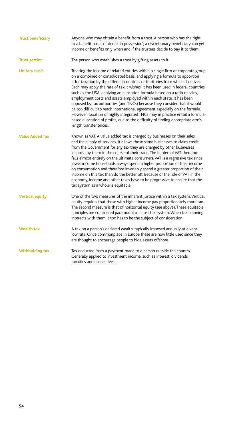| <b>Trust beneficiary</b> | Anyone who may obtain a benefit from a trust. A person who has the right<br>to a benefit has an 'interest in possession'; a discretionary beneficiary can get<br>income or benefits only when and if the trustees decide to pay it to them.                                                                                                                                                                                                                                                                                                                                                                                                                                                                                                                                                                                                         |
|--------------------------|-----------------------------------------------------------------------------------------------------------------------------------------------------------------------------------------------------------------------------------------------------------------------------------------------------------------------------------------------------------------------------------------------------------------------------------------------------------------------------------------------------------------------------------------------------------------------------------------------------------------------------------------------------------------------------------------------------------------------------------------------------------------------------------------------------------------------------------------------------|
| <b>Trust settlor</b>     | The person who establishes a trust by gifting assets to it.                                                                                                                                                                                                                                                                                                                                                                                                                                                                                                                                                                                                                                                                                                                                                                                         |
| <b>Unitary basis</b>     | Treating the income of related entities within a single firm or corporate group<br>on a combined or consolidated basis, and applying a formula to apportion<br>it for taxation by the different countries or territories from which it derives.<br>Each may apply the rate of tax it wishes. It has been used in federal countries<br>such as the USA, applying an allocation formula based on a ratio of sales,<br>employment costs and assets employed within each state. It has been<br>opposed by tax authorities (and TNCs) because they consider that it would<br>be too difficult to reach international agreement especially on the formula.<br>However, taxation of highly integrated TNCs may in practice entail a formula-<br>based allocation of profits, due to the difficulty of finding appropriate arm's<br>length transfer prices. |
| <b>Value Added Tax</b>   | Known as VAT. A value added tax is charged by businesses on their sales<br>and the supply of services. It allows those same businesses to claim credit<br>from the Government for any tax they are charged by other businesses<br>incurred by them in the course of their trade. The burden of VAT therefore<br>falls almost entirely on the ultimate consumers. VAT is a regressive tax since<br>lower income households always spend a higher proportion of their income<br>on consumption and therefore invariably spend a greater proportion of their<br>income on this tax than do the better off. Because of the role of VAT in the<br>economy, income and other taxes have to be progressive to ensure that the<br>tax system as a whole is equitable.                                                                                       |
| <b>Vertical equity</b>   | One of the two measures of the inherent justice within a tax system. Vertical<br>equity requires that those with higher income pay proportionately more tax.<br>The second measure is that of horizontal equity (see above). These equitable<br>principles are considered paramount in a just tax system. When tax planning<br>interacts with them it too has to be the subject of consideration.                                                                                                                                                                                                                                                                                                                                                                                                                                                   |
| <b>Wealth tax</b>        | A tax on a person's declared wealth, typically imposed annually at a very<br>low rate. Once commonplace in Europe these are now little used since they<br>are thought to encourage people to hide assets offshore.                                                                                                                                                                                                                                                                                                                                                                                                                                                                                                                                                                                                                                  |
| <b>Withholding tax</b>   | Tax deducted from a payment made to a person outside the country.<br>Generally applied to investment income, such as interest, dividends,<br>royalties and licence fees.                                                                                                                                                                                                                                                                                                                                                                                                                                                                                                                                                                                                                                                                            |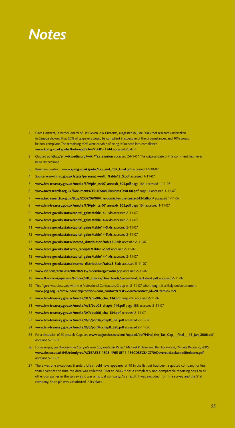## *Notes*

- Dave Hartnett, Director General of HM Revenue & Customs, suggested in June 2006 that research undertaken in Canada showed that 50% of taxpayers would be compliant irrespective of the circumstances, and 10% would be non-compliant. The remaining 40% were capable of being influenced into compliance. **www.kpmg.co.uk/pubs/beforepdf.cfm?PubID=1744** accessed 20.4.07
- Quoted at **http://en.wikipedia.org/wiki/Tax\_evasion** accessed 24-1-07. The original date of this comment has never been determined.
- Based on quotes in **www.kpmg.co.uk/pubs/Tax\_and\_CSR\_Final.pdf** accessed 12-10-07
- Source: **www.hmrc.gov.uk/stats/personal\_wealth/table13\_5.pdf** accessed 1-11-07
- **www.hm-treasury.gov.uk/media/F/9/pbr\_csr07\_annexb\_305.pdf** page 164, accessed 1-11-07
- **www.taxresearch.org.uk/Documents/TRLLPSmallBusinessTax8-08.pdf** page 14 accessed 1-11-07
- **www.taxresearch.org.uk/Blog/2007/09/09/the-domicile-rule-costs-£43-billion/** accessed 1-11-07
- **www.hm-treasury.gov.uk/media/F/9/pbr\_csr07\_annexb\_305.pdf** page 164 accessed 1-11-07
- **www.hmrc.gov.uk/stats/capital\_gains/table14-1.xls** accessed 2-11-07
- **www.hmrc.gov.uk/stats/capital\_gains/table14-4.xls** accessed 2-11-07
- **www.hmrc.gov.uk/stats/capital\_gains/table14-5.xls** accessed 2-11-07
- **www.hmrc.gov.uk/stats/capital\_gains/table14-5.xls** accessed 2-11-07
- **www.hmrc.gov.uk/stats/income\_distribution/table3-5.xls** accessed 2-11-07
- **www.hmrc.gov.uk/stats/tax\_receipts/table1-2.pdf** accessed 2-11-07
- **www.hmrc.gov.uk/stats/capital\_gains/table14-1.xls** accessed 2-11-07
- **www.hmrc.gov.uk/stats/income\_distribution/table3-7.xls** accessed 5-11-07
- **www.iht.com/articles/2007/02/15/bloomberg/bxatm.php** accessed 2-11-07
- **www.ftse.com/japanese/Indices/UK\_Indices/Downloads/ukdividend\_factsheet.pdf** accessed 2-11-07
- This figure was discussed with the Professional Contractors Group on 2-11-07 who thought it a likely understatement. **www.pcg.org.uk/cms/index.php?option=com\_contact&task=view&contact\_id=2&Itemid=359**
- **www.hm-treasury.gov.uk/media/0/7/bud06\_cha\_134.pdf** page 210 accessed 2-11-07.
- **www.hm-treasury.gov.uk/media/A/5/bud05\_chapA\_146.pdf** page 186 accessed 2-11-07
- **www.hm-treasury.gov.uk/media/0/7/bud06\_cha\_134.pdf** accessed 2-11-07
- **www.hm-treasury.gov.uk/media/D/6/pbr04\_chapB\_320.pdf** accessed 2-11-07.
- **www.hm-treasury.gov.uk/media/D/6/pbr04\_chapB\_320.pdf** accessed 2-11-07.
- For a discussion of 20 possible Gaps see **www.taxjustice.net/cms/upload/pdf/Mind\_the\_Tax\_Gap\_-\_final\_-\_15\_Jan\_2006.pdf** accessed 5-11-07
- For example, see *Do Countries Compete over Corporate Tax Rates?*, Michael P. Devereux, Ben Lockwood, Michela Redoano, 2005 **www.sbs.ox.ac.uk/NR/rdonlyres/ACE5A5B5-1508-4F65-8F11-136CDB5C84C7/0/DevereuxLockwoodRedoano.pdf** accessed 5-11-07
- There was one exception: Standard Life should have appeared at 49 in the list but had been a quoted company for less than a year at the time the data was collected. Prior to 2006 it has a completely non-comparable reporting basis to all other companies in the survey as it was a mutual company. As a result it was excluded from the survey and the 51st company, Shire plc was substituted in its place.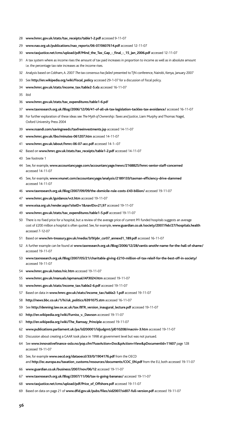- **www.hmrc.gov.uk/stats/tax\_receipts/table1-2.pdf** accessed 9-11-07
- **www.nao.org.uk/publications/nao\_reports/06-07/0607614.pdf** accessed 12-11-07
- **www.taxjustice.net/cms/upload/pdf/Mind\_the\_Tax\_Gap\_-\_final\_-\_15\_Jan\_2006.pdf** accessed 12-11-07
- A tax system where as income rises the amount of tax paid increases in proportion to income as well as in absolute amount i.e. the percentage tax rate increases as the income rises.
- Analysis based on Cobham, A. 2007 *The tax consensus hasfailed* presented to TJN conference, Nairobi, Kenya, January 2007
- See **http://en.wikipedia.org/wiki/Fiscal\_policy** accessed 29-1-07 for a discussion of fiscal policy.
- **www.hmrc.gov.uk/stats/income\_tax/table2-5.xls** accessed 16-11-07
- ibid
- **www.hmrc.gov.uk/stats/tax\_expenditures/table1-6.pd**f
- **www.taxresearch.org.uk/Blog/2006/12/06/41-of-all-uk-tax-legislation-tackles-tax-avoidance/** accessed 16-11-07
- For further exploration of these ideas see *TheMyth of Ownership:Taxes and Justice*, Liam Murphy and Thomas Nagel, Oxford University Press 2004
- **www.nsandi.com/savingneeds/taxfreeinvestments.jsp** accessed 14-11-07
- **www.hmrc.gov.uk/lbo/minutes-061207.htm** accessed 14-11-07
- **www.hmrc.gov.uk/about/hmrc-06-07-acc.pdf** accessed 14-1--07
- Based on **www.hmrc.gov.uk/stats/tax\_receipts/table1-2.pdf** accessed 14-11-07
- See footnote 1
- See, for example, **www.accountancyage.com/accountancyage/news/2168825/hmrc-senior-staff-concerned** accessed 14-11-07
- See, for example, **www.vnunet.com/accountancyage/analysis/2189133/taxman-efficiency-drive-slammed** accessed 14-11-07
- **www.taxresearch.org.uk/Blog/2007/09/09/the-domicile-rule-costs-£43-billion/** accessed 19-11-07
- **www.hmrc.gov.uk/guidance/vct.htm** accessed 19-11-07
- **www.eisa.org.uk/render.aspx?siteID=1&navIDs=21,97** accessed 19-11-07
- **www.hmrc.gov.uk/stats/tax\_expenditures/table1-5.pdf** accessed 19-11-07
- There is no fixed price for a hospital, but a review of the average price of current PFI funded hospitals suggests an average cost of £200 million a hospital is often quoted. See, for example, **www.guardian.co.uk/society/2007/feb/27/hospitals.health** accessed 7-12-07
- Based on **www.hm-treasury.gov.uk/media/3/9/pbr\_csr07\_annexd1\_189.pdf** accessed 16-11-07
- A further example can be found at **www.taxresearch.org.uk/Blog/2006/12/28/vantis-anothr-name-for-the-hall-of-shame/** accessed 19-11-07
- **www.taxresearch.org.uk/Blog/2007/05/21/charitable-giving-£210-million-of-tax-releif-for-the-best-off-in-society/** accessed 19-11-07
- **www.hmrc.gov.uk/rates/nic.htm** accessed 19-11-07
- **www.hmrc.gov.uk/manuals/apmanual/AP3024.htm** accessed 19-11-07
- **www.hmrc.gov.uk/stats/income\_tax/table2-6.pdf** accessed 19-11-07
- Based on data in **www.hmrc.gov.uk/stats/income\_tax/table2-1.pdf** accessed 19-11-07
- **http://news.bbc.co.uk/1/hi/uk\_politics/6391075.stm** accessed 16-11-07
- See **http://denning.law.ox.ac.uk/tax/BTR\_version\_inaugural\_lecture.pdf** accessed 19-11-07
- **http://en.wikipedia.org/wiki/Furniss\_v.\_Dawson** accessed 19-11-07
- **http://en.wikipedia.org/wiki/The\_Ramsay\_Principle** accessed 19-11-07
- **www.publications.parliament.uk/pa/ld200001/ldjudgmt/jd010208/macniv-3.htm** accessed 19-11-07
- Discussion about creating a GAAR took place in 1998 at government level but was not pursued.
- See **www.innovativefinance-oslo.no/pop.cfm?FuseAction=Doc&pAction=View&pDocumentId=11607** page 128 accessed 19-11-07
- See, for example **www.oecd.org/dataoecd/33/0/1904176.pdf** from the OECD and **http://ec.europa.eu/taxation\_customs/resources/documents/COC\_EN.pdf** from the EU, both accessed 19-11-07
- **www.guardian.co.uk/business/2007/nov/06/12** accessed 19-11-07
- **www.taxresearch.org.uk/Blog/2007/11/06/tax-is-going-bananas/** accessed 19-11-07
- **www.taxjustice.net/cms/upload/pdf/Price\_of\_Offshore.pdf** accessed 19-11-07
- Based on data on page 21 of **www.dfid.gov.uk/pubs/files/sid2007/sid07-full-version.pdf** accessed 19-11-07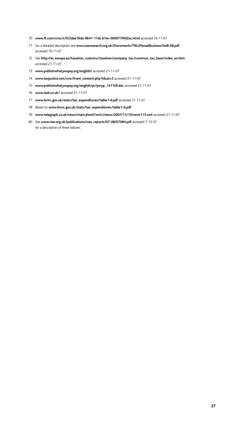- **www.ft.com/cms/s/0/2dae16da-9641-11dc-b7ec-0000779fd2ac.html** accessed 19-11-07
- For a detailed description see **www.taxresearch.org.uk/Documents/TRLLPSmallBusinessTax8-08.pdf** accessed 19-11-07
- See **http://ec.europa.eu/taxation\_customs/taxation/company\_tax/common\_tax\_base/index\_en.htm** accessed 21-11-07
- **www.publishwhatyoupay.org/english/** accessed 21-11-07
- **www.taxjustice.net/cms/front\_content.php?idcat=2** accessed 21-11-07
- **www.publishwhatyoupay.org/english/pr/pwyp\_141109.doc** accessed 21-11-07
- **www.iasb.co.uk/** accessed 21-11-07
- **www.hmrc.gov.uk/stats/tax\_expenditures/table1-6.pdf** accessed 21-11-07
- Based on **www.hmrc.gov.uk/stats/tax\_expenditures/table1-6.pdf**
- **www.telegraph.co.uk/news/main.jhtml?xml=/news/2007/11/15/nemi115.xml** accessed 21-11-07
- See **www.nao.org.uk/publications/nao\_reports/07-08/07084.pdf** accessed 7-12-07 for a description of these failures.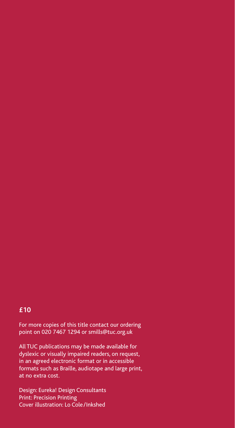## **£10**

For more copies of this title contact our ordering point on 020 7467 1294 or smills@tuc.org.uk

All TUC publications may be made available for dyslexic or visually impaired readers, on request, in an agreed electronic format or in accessible formats such as Braille, audiotape and large print, at no extra cost.

Design: Eureka! Design Consultants Print: Precision Printing Cover illustration: Lo Cole/Inkshed